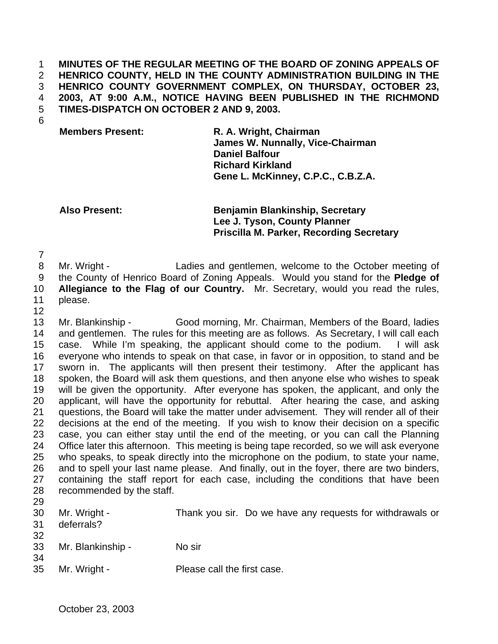**MINUTES OF THE REGULAR MEETING OF THE BOARD OF ZONING APPEALS OF HENRICO COUNTY, HELD IN THE COUNTY ADMINISTRATION BUILDING IN THE HENRICO COUNTY GOVERNMENT COMPLEX, ON THURSDAY, OCTOBER 23, 2003, AT 9:00 A.M., NOTICE HAVING BEEN PUBLISHED IN THE RICHMOND TIMES-DISPATCH ON OCTOBER 2 AND 9, 2003.**

**Members Present: R. A. Wright, Chairman James W. Nunnally, Vice-Chairman Daniel Balfour Richard Kirkland Gene L. McKinney, C.P.C., C.B.Z.A.**

**Also Present: Benjamin Blankinship, Secretary Lee J. Tyson, County Planner Priscilla M. Parker, Recording Secretary**

 Mr. Wright - Ladies and gentlemen, welcome to the October meeting of the County of Henrico Board of Zoning Appeals. Would you stand for the **Pledge of**

**Allegiance to the Flag of our Country.** Mr. Secretary, would you read the rules,

- please.
- 

 Mr. Blankinship - Good morning, Mr. Chairman, Members of the Board, ladies and gentlemen. The rules for this meeting are as follows. As Secretary, I will call each case. While I'm speaking, the applicant should come to the podium. I will ask everyone who intends to speak on that case, in favor or in opposition, to stand and be sworn in. The applicants will then present their testimony. After the applicant has spoken, the Board will ask them questions, and then anyone else who wishes to speak will be given the opportunity. After everyone has spoken, the applicant, and only the applicant, will have the opportunity for rebuttal. After hearing the case, and asking questions, the Board will take the matter under advisement. They will render all of their decisions at the end of the meeting. If you wish to know their decision on a specific case, you can either stay until the end of the meeting, or you can call the Planning Office later this afternoon. This meeting is being tape recorded, so we will ask everyone who speaks, to speak directly into the microphone on the podium, to state your name, and to spell your last name please. And finally, out in the foyer, there are two binders, containing the staff report for each case, including the conditions that have been recommended by the staff.

| 31<br>32 | 30 Mr. Wright -<br>deferrals? | Thank you sir. Do we have any requests for withdrawals or |
|----------|-------------------------------|-----------------------------------------------------------|
| 34       | 33 Mr. Blankinship -          | No sir                                                    |
|          | 35 Mr. Wright -               | Please call the first case.                               |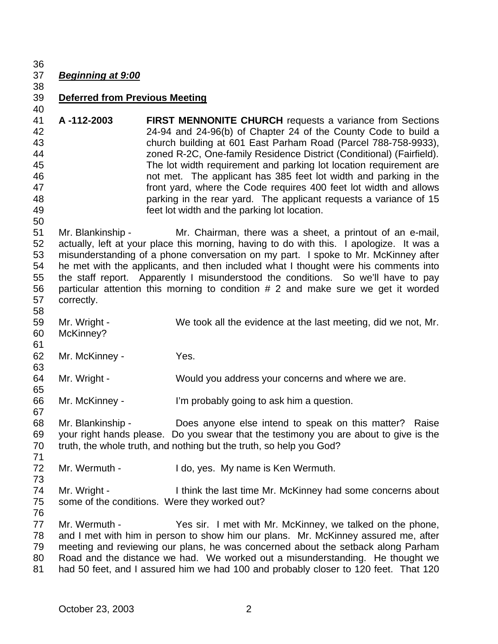## *Beginning at 9:00*

# **Deferred from Previous Meeting**

 **A -112-2003 FIRST MENNONITE CHURCH** requests a variance from Sections 24-94 and 24-96(b) of Chapter 24 of the County Code to build a church building at 601 East Parham Road (Parcel 788-758-9933), zoned R-2C, One-family Residence District (Conditional) (Fairfield). The lot width requirement and parking lot location requirement are not met. The applicant has 385 feet lot width and parking in the front yard, where the Code requires 400 feet lot width and allows parking in the rear yard. The applicant requests a variance of 15 feet lot width and the parking lot location. 

 Mr. Blankinship - Mr. Chairman, there was a sheet, a printout of an e-mail, actually, left at your place this morning, having to do with this. I apologize. It was a misunderstanding of a phone conversation on my part. I spoke to Mr. McKinney after he met with the applicants, and then included what I thought were his comments into the staff report. Apparently I misunderstood the conditions. So we'll have to pay particular attention this morning to condition # 2 and make sure we get it worded correctly. 

 Mr. Wright - We took all the evidence at the last meeting, did we not, Mr. McKinney?

 Mr. McKinney - Yes.

 Mr. Wright - Would you address your concerns and where we are. 

 Mr. McKinney - I'm probably going to ask him a question. 

 Mr. Blankinship - Does anyone else intend to speak on this matter? Raise your right hands please. Do you swear that the testimony you are about to give is the truth, the whole truth, and nothing but the truth, so help you God?

72 Mr. Wermuth - I do, yes. My name is Ken Wermuth.

 Mr. Wright - I think the last time Mr. McKinney had some concerns about some of the conditions. Were they worked out?

 Mr. Wermuth - Yes sir. I met with Mr. McKinney, we talked on the phone, and I met with him in person to show him our plans. Mr. McKinney assured me, after meeting and reviewing our plans, he was concerned about the setback along Parham Road and the distance we had. We worked out a misunderstanding. He thought we had 50 feet, and I assured him we had 100 and probably closer to 120 feet. That 120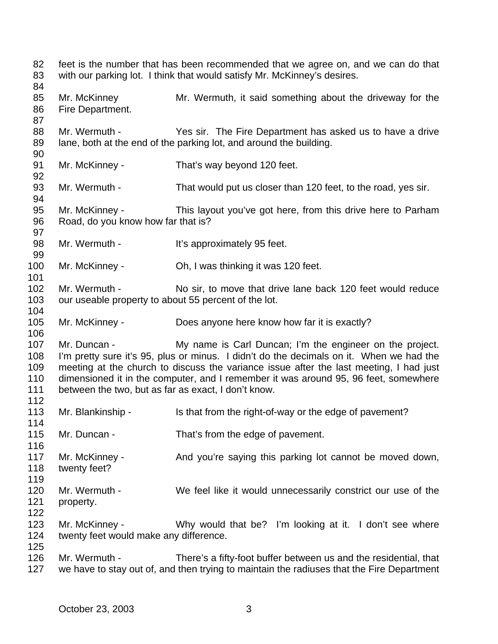feet is the number that has been recommended that we agree on, and we can do that with our parking lot. I think that would satisfy Mr. McKinney's desires. Mr. McKinney Mr. Wermuth, it said something about the driveway for the Fire Department. Mr. Wermuth - Yes sir. The Fire Department has asked us to have a drive lane, both at the end of the parking lot, and around the building. Mr. McKinney - That's way beyond 120 feet. 93 Mr. Wermuth - That would put us closer than 120 feet, to the road, yes sir. Mr. McKinney - This layout you've got here, from this drive here to Parham Road, do you know how far that is? 98 Mr. Wermuth - It's approximately 95 feet. Mr. McKinney - Oh, I was thinking it was 120 feet. Mr. Wermuth - No sir, to move that drive lane back 120 feet would reduce 103 our useable property to about 55 percent of the lot. Mr. McKinney - Does anyone here know how far it is exactly? Mr. Duncan - My name is Carl Duncan; I'm the engineer on the project. I'm pretty sure it's 95, plus or minus. I didn't do the decimals on it. When we had the meeting at the church to discuss the variance issue after the last meeting, I had just dimensioned it in the computer, and I remember it was around 95, 96 feet, somewhere between the two, but as far as exact, I don't know. 113 Mr. Blankinship - Is that from the right-of-way or the edge of pavement? 115 Mr. Duncan - That's from the edge of pavement. 117 Mr. McKinney - And you're saying this parking lot cannot be moved down, twenty feet? Mr. Wermuth - We feel like it would unnecessarily constrict our use of the property. Mr. McKinney - Why would that be? I'm looking at it. I don't see where twenty feet would make any difference. Mr. Wermuth - There's a fifty-foot buffer between us and the residential, that we have to stay out of, and then trying to maintain the radiuses that the Fire Department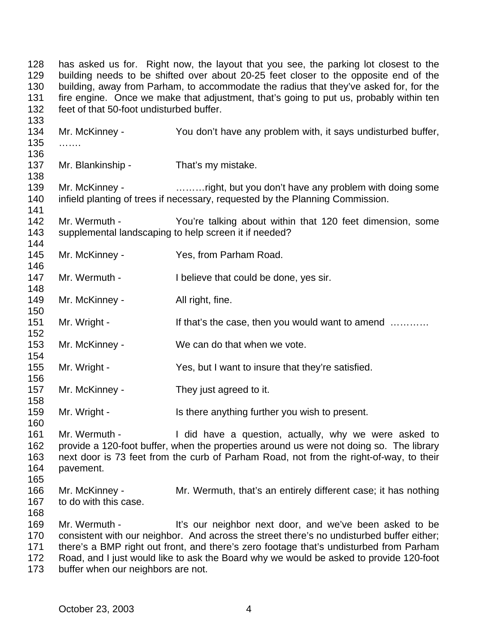has asked us for. Right now, the layout that you see, the parking lot closest to the building needs to be shifted over about 20-25 feet closer to the opposite end of the building, away from Parham, to accommodate the radius that they've asked for, for the fire engine. Once we make that adjustment, that's going to put us, probably within ten feet of that 50-foot undisturbed buffer. Mr. McKinney - You don't have any problem with, it says undisturbed buffer, ……. 137 Mr. Blankinship - That's my mistake. 139 Mr. McKinney - match match with the university of the Mr. McKinney - match match with doing some infield planting of trees if necessary, requested by the Planning Commission. Mr. Wermuth - You're talking about within that 120 feet dimension, some supplemental landscaping to help screen it if needed? Mr. McKinney - Yes, from Parham Road. 147 Mr. Wermuth - I believe that could be done, yes sir. 149 Mr. McKinney - All right, fine. 151 Mr. Wright - If that's the case, then you would want to amend ………… Mr. McKinney - We can do that when we vote. Mr. Wright - Yes, but I want to insure that they're satisfied. Mr. McKinney - They just agreed to it. 159 Mr. Wright - Is there anything further you wish to present. Mr. Wermuth - I did have a question, actually, why we were asked to provide a 120-foot buffer, when the properties around us were not doing so. The library next door is 73 feet from the curb of Parham Road, not from the right-of-way, to their pavement. Mr. McKinney - Mr. Wermuth, that's an entirely different case; it has nothing to do with this case. Mr. Wermuth - It's our neighbor next door, and we've been asked to be consistent with our neighbor. And across the street there's no undisturbed buffer either; there's a BMP right out front, and there's zero footage that's undisturbed from Parham Road, and I just would like to ask the Board why we would be asked to provide 120-foot 173 buffer when our neighbors are not.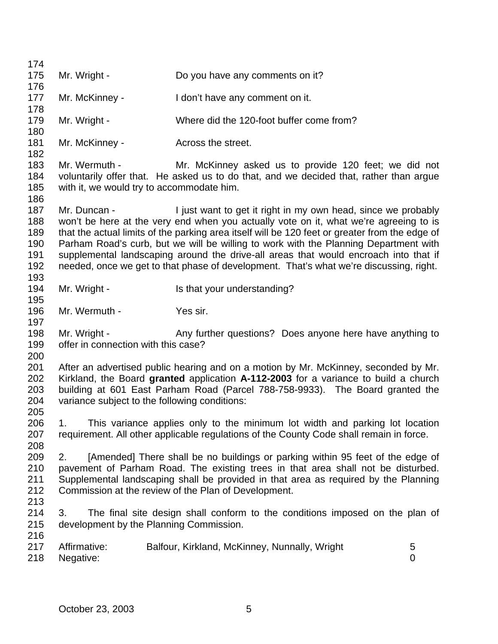| 174        |                                               |                                                                                                |                |
|------------|-----------------------------------------------|------------------------------------------------------------------------------------------------|----------------|
| 175        | Mr. Wright -                                  | Do you have any comments on it?                                                                |                |
| 176        |                                               |                                                                                                |                |
| 177        | Mr. McKinney -                                | I don't have any comment on it.                                                                |                |
| 178<br>179 | Mr. Wright -                                  | Where did the 120-foot buffer come from?                                                       |                |
| 180        |                                               |                                                                                                |                |
| 181        | Mr. McKinney -                                | Across the street.                                                                             |                |
| 182        |                                               |                                                                                                |                |
| 183        | Mr. Wermuth -                                 | Mr. McKinney asked us to provide 120 feet; we did not                                          |                |
| 184        |                                               | voluntarily offer that. He asked us to do that, and we decided that, rather than argue         |                |
| 185        | with it, we would try to accommodate him.     |                                                                                                |                |
| 186<br>187 | Mr. Duncan -                                  | I just want to get it right in my own head, since we probably                                  |                |
| 188        |                                               | won't be here at the very end when you actually vote on it, what we're agreeing to is          |                |
| 189        |                                               | that the actual limits of the parking area itself will be 120 feet or greater from the edge of |                |
| 190        |                                               | Parham Road's curb, but we will be willing to work with the Planning Department with           |                |
| 191        |                                               | supplemental landscaping around the drive-all areas that would encroach into that if           |                |
| 192        |                                               | needed, once we get to that phase of development. That's what we're discussing, right.         |                |
| 193        |                                               |                                                                                                |                |
| 194        | Mr. Wright -                                  | Is that your understanding?                                                                    |                |
| 195        |                                               |                                                                                                |                |
| 196        | Mr. Wermuth -                                 | Yes sir.                                                                                       |                |
| 197        |                                               |                                                                                                |                |
| 198        | Mr. Wright -                                  | Any further questions? Does anyone here have anything to                                       |                |
| 199        | offer in connection with this case?           |                                                                                                |                |
| 200        |                                               |                                                                                                |                |
| 201        |                                               | After an advertised public hearing and on a motion by Mr. McKinney, seconded by Mr.            |                |
| 202        |                                               | Kirkland, the Board granted application A-112-2003 for a variance to build a church            |                |
| 203        |                                               | building at 601 East Parham Road (Parcel 788-758-9933). The Board granted the                  |                |
| 204        | variance subject to the following conditions: |                                                                                                |                |
| 205<br>206 | 1                                             | This variance applies only to the minimum lot width and parking lot location                   |                |
| 207        |                                               | requirement. All other applicable regulations of the County Code shall remain in force.        |                |
| 208        |                                               |                                                                                                |                |
| 209        | 2.                                            | [Amended] There shall be no buildings or parking within 95 feet of the edge of                 |                |
| 210        |                                               | pavement of Parham Road. The existing trees in that area shall not be disturbed.               |                |
| 211        |                                               | Supplemental landscaping shall be provided in that area as required by the Planning            |                |
| 212        |                                               | Commission at the review of the Plan of Development.                                           |                |
| 213        |                                               |                                                                                                |                |
| 214        | 3.                                            | The final site design shall conform to the conditions imposed on the plan of                   |                |
| 215        | development by the Planning Commission.       |                                                                                                |                |
| 216        |                                               |                                                                                                |                |
| 217        | Affirmative:                                  | Balfour, Kirkland, McKinney, Nunnally, Wright                                                  | 5              |
| 218        | Negative:                                     |                                                                                                | $\overline{0}$ |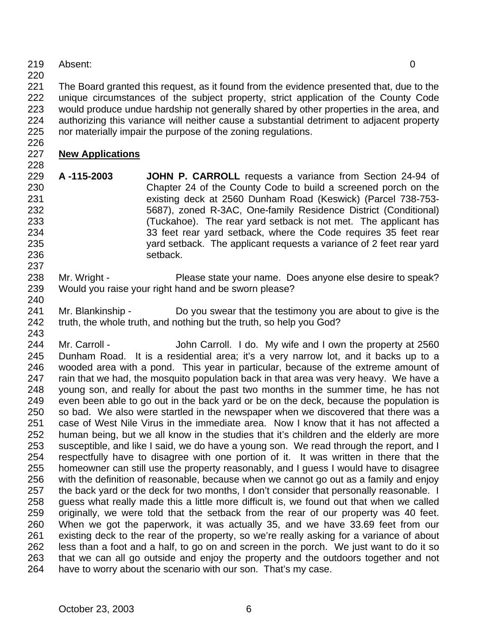- Absent: 0
- 

 The Board granted this request, as it found from the evidence presented that, due to the unique circumstances of the subject property, strict application of the County Code would produce undue hardship not generally shared by other properties in the area, and authorizing this variance will neither cause a substantial detriment to adjacent property

nor materially impair the purpose of the zoning regulations.

### **New Applications**

- **A -115-2003 JOHN P. CARROLL** requests a variance from Section 24-94 of Chapter 24 of the County Code to build a screened porch on the existing deck at 2560 Dunham Road (Keswick) (Parcel 738-753- 5687), zoned R-3AC, One-family Residence District (Conditional) (Tuckahoe). The rear yard setback is not met. The applicant has 33 feet rear yard setback, where the Code requires 35 feet rear yard setback. The applicant requests a variance of 2 feet rear yard 236 setback.
- 238 Mr. Wright Please state your name. Does anyone else desire to speak? Would you raise your right hand and be sworn please?
- Mr. Blankinship Do you swear that the testimony you are about to give is the 242 truth, the whole truth, and nothing but the truth, so help you God?

244 Mr. Carroll - John Carroll. I do. My wife and I own the property at 2560 Dunham Road. It is a residential area; it's a very narrow lot, and it backs up to a wooded area with a pond. This year in particular, because of the extreme amount of 247 rain that we had, the mosquito population back in that area was very heavy. We have a young son, and really for about the past two months in the summer time, he has not even been able to go out in the back yard or be on the deck, because the population is so bad. We also were startled in the newspaper when we discovered that there was a case of West Nile Virus in the immediate area. Now I know that it has not affected a human being, but we all know in the studies that it's children and the elderly are more susceptible, and like I said, we do have a young son. We read through the report, and I respectfully have to disagree with one portion of it. It was written in there that the homeowner can still use the property reasonably, and I guess I would have to disagree with the definition of reasonable, because when we cannot go out as a family and enjoy 257 the back yard or the deck for two months, I don't consider that personally reasonable. I guess what really made this a little more difficult is, we found out that when we called originally, we were told that the setback from the rear of our property was 40 feet. When we got the paperwork, it was actually 35, and we have 33.69 feet from our existing deck to the rear of the property, so we're really asking for a variance of about less than a foot and a half, to go on and screen in the porch. We just want to do it so that we can all go outside and enjoy the property and the outdoors together and not have to worry about the scenario with our son. That's my case.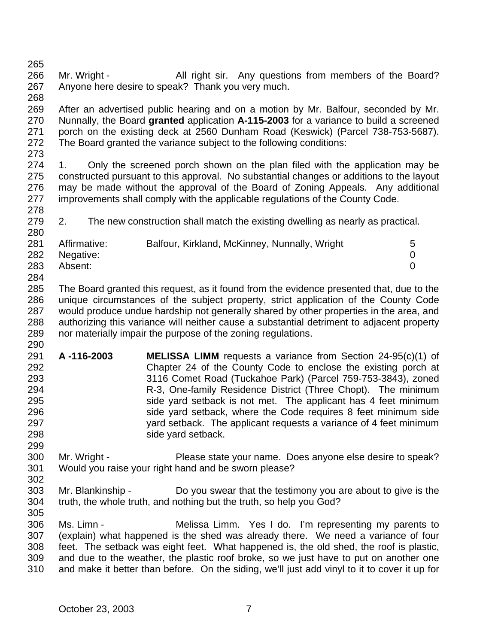266 Mr. Wright - All right sir. Any questions from members of the Board? Anyone here desire to speak? Thank you very much.

 After an advertised public hearing and on a motion by Mr. Balfour, seconded by Mr. Nunnally, the Board **granted** application **A-115-2003** for a variance to build a screened porch on the existing deck at 2560 Dunham Road (Keswick) (Parcel 738-753-5687). The Board granted the variance subject to the following conditions:

274 1. Only the screened porch shown on the plan filed with the application may be constructed pursuant to this approval. No substantial changes or additions to the layout may be made without the approval of the Board of Zoning Appeals. Any additional improvements shall comply with the applicable regulations of the County Code. 

2. The new construction shall match the existing dwelling as nearly as practical.

| 281 | Affirmative: | Balfour, Kirkland, McKinney, Nunnally, Wright | 5 |
|-----|--------------|-----------------------------------------------|---|
| 282 | Negative:    |                                               |   |
| 283 | Absent:      |                                               |   |
| 284 |              |                                               |   |

 The Board granted this request, as it found from the evidence presented that, due to the unique circumstances of the subject property, strict application of the County Code would produce undue hardship not generally shared by other properties in the area, and authorizing this variance will neither cause a substantial detriment to adjacent property nor materially impair the purpose of the zoning regulations.

- **A -116-2003 MELISSA LIMM** requests a variance from Section 24-95(c)(1) of Chapter 24 of the County Code to enclose the existing porch at 3116 Comet Road (Tuckahoe Park) (Parcel 759-753-3843), zoned R-3, One-family Residence District (Three Chopt). The minimum 295 side yard setback is not met. The applicant has 4 feet minimum 296 side yard setback, where the Code requires 8 feet minimum side yard setback. The applicant requests a variance of 4 feet minimum side yard setback.
- Mr. Wright Please state your name. Does anyone else desire to speak? Would you raise your right hand and be sworn please?
- Mr. Blankinship Do you swear that the testimony you are about to give is the truth, the whole truth, and nothing but the truth, so help you God?
- Ms. Limn - Melissa Limm. Yes I do. I'm representing my parents to (explain) what happened is the shed was already there. We need a variance of four feet. The setback was eight feet. What happened is, the old shed, the roof is plastic, and due to the weather, the plastic roof broke, so we just have to put on another one and make it better than before. On the siding, we'll just add vinyl to it to cover it up for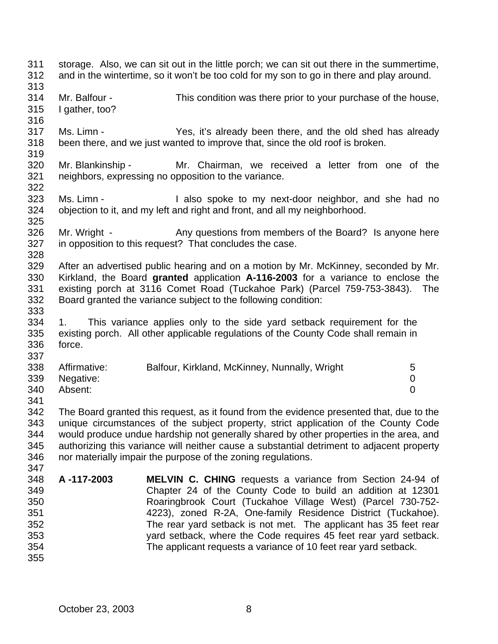storage. Also, we can sit out in the little porch; we can sit out there in the summertime, and in the wintertime, so it won't be too cold for my son to go in there and play around. Mr. Balfour - This condition was there prior to your purchase of the house, I gather, too? Ms. Limn - Yes, it's already been there, and the old shed has already been there, and we just wanted to improve that, since the old roof is broken. Mr. Blankinship - Mr. Chairman, we received a letter from one of the neighbors, expressing no opposition to the variance. Ms. Limn - I also spoke to my next-door neighbor, and she had no objection to it, and my left and right and front, and all my neighborhood. 326 Mr. Wright - Any questions from members of the Board? Is anyone here in opposition to this request? That concludes the case. After an advertised public hearing and on a motion by Mr. McKinney, seconded by Mr. Kirkland, the Board **granted** application **A-116-2003** for a variance to enclose the existing porch at 3116 Comet Road (Tuckahoe Park) (Parcel 759-753-3843). The Board granted the variance subject to the following condition: 1. This variance applies only to the side yard setback requirement for the existing porch. All other applicable regulations of the County Code shall remain in force. Affirmative: Balfour, Kirkland, McKinney, Nunnally, Wright 5 Negative: 0 Absent: 0 The Board granted this request, as it found from the evidence presented that, due to the unique circumstances of the subject property, strict application of the County Code would produce undue hardship not generally shared by other properties in the area, and authorizing this variance will neither cause a substantial detriment to adjacent property nor materially impair the purpose of the zoning regulations. **A -117-2003 MELVIN C. CHING** requests a variance from Section 24-94 of Chapter 24 of the County Code to build an addition at 12301 Roaringbrook Court (Tuckahoe Village West) (Parcel 730-752- 4223), zoned R-2A, One-family Residence District (Tuckahoe). The rear yard setback is not met. The applicant has 35 feet rear yard setback, where the Code requires 45 feet rear yard setback. The applicant requests a variance of 10 feet rear yard setback.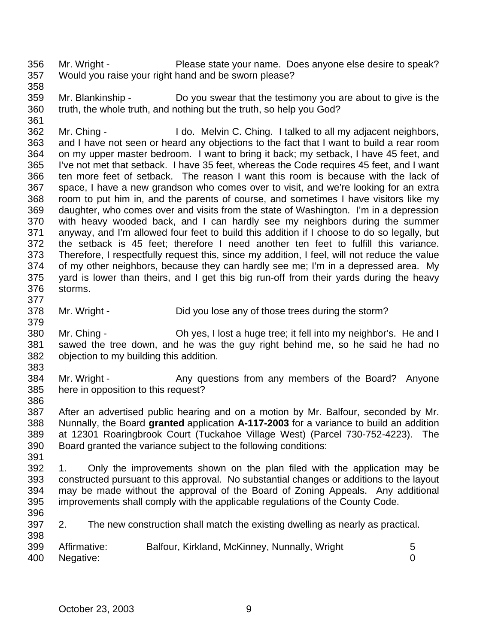Mr. Wright - Please state your name. Does anyone else desire to speak? Would you raise your right hand and be sworn please?

 Mr. Blankinship - Do you swear that the testimony you are about to give is the truth, the whole truth, and nothing but the truth, so help you God? 

 Mr. Ching - I do. Melvin C. Ching. I talked to all my adjacent neighbors, and I have not seen or heard any objections to the fact that I want to build a rear room on my upper master bedroom. I want to bring it back; my setback, I have 45 feet, and I've not met that setback. I have 35 feet, whereas the Code requires 45 feet, and I want ten more feet of setback. The reason I want this room is because with the lack of space, I have a new grandson who comes over to visit, and we're looking for an extra room to put him in, and the parents of course, and sometimes I have visitors like my daughter, who comes over and visits from the state of Washington. I'm in a depression with heavy wooded back, and I can hardly see my neighbors during the summer anyway, and I'm allowed four feet to build this addition if I choose to do so legally, but the setback is 45 feet; therefore I need another ten feet to fulfill this variance. Therefore, I respectfully request this, since my addition, I feel, will not reduce the value of my other neighbors, because they can hardly see me; I'm in a depressed area. My yard is lower than theirs, and I get this big run-off from their yards during the heavy storms. 

 Mr. Wright - Did you lose any of those trees during the storm? 

 Mr. Ching - Oh yes, I lost a huge tree; it fell into my neighbor's. He and I sawed the tree down, and he was the guy right behind me, so he said he had no objection to my building this addition. 

384 Mr. Wright - Any questions from any members of the Board? Anyone here in opposition to this request? 

 After an advertised public hearing and on a motion by Mr. Balfour, seconded by Mr. Nunnally, the Board **granted** application **A-117-2003** for a variance to build an addition at 12301 Roaringbrook Court (Tuckahoe Village West) (Parcel 730-752-4223). The Board granted the variance subject to the following conditions:

 1. Only the improvements shown on the plan filed with the application may be constructed pursuant to this approval. No substantial changes or additions to the layout may be made without the approval of the Board of Zoning Appeals. Any additional improvements shall comply with the applicable regulations of the County Code.

2. The new construction shall match the existing dwelling as nearly as practical.

| 399 | Affirmative: | Balfour, Kirkland, McKinney, Nunnally, Wright |  |
|-----|--------------|-----------------------------------------------|--|
| 400 | Negative:    |                                               |  |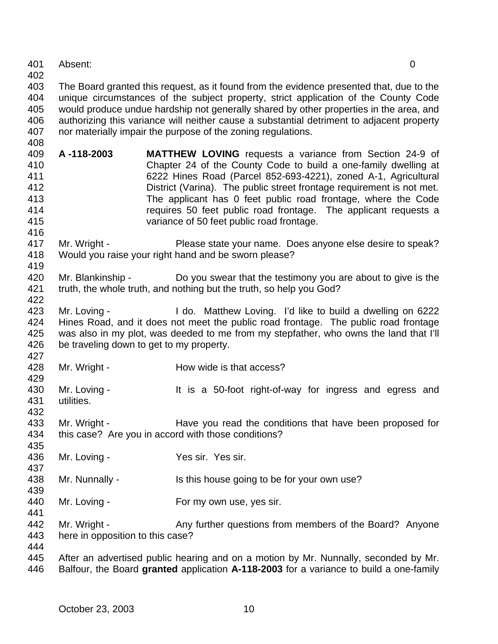Absent: 0

 The Board granted this request, as it found from the evidence presented that, due to the unique circumstances of the subject property, strict application of the County Code would produce undue hardship not generally shared by other properties in the area, and authorizing this variance will neither cause a substantial detriment to adjacent property nor materially impair the purpose of the zoning regulations.

- **A -118-2003 MATTHEW LOVING** requests a variance from Section 24-9 of Chapter 24 of the County Code to build a one-family dwelling at 6222 Hines Road (Parcel 852-693-4221), zoned A-1, Agricultural District (Varina). The public street frontage requirement is not met. The applicant has 0 feet public road frontage, where the Code requires 50 feet public road frontage. The applicant requests a variance of 50 feet public road frontage.
- Mr. Wright Please state your name. Does anyone else desire to speak? Would you raise your right hand and be sworn please?
- 420 Mr. Blankinship Do you swear that the testimony you are about to give is the truth, the whole truth, and nothing but the truth, so help you God?
- Mr. Loving I do. Matthew Loving. I'd like to build a dwelling on 6222 Hines Road, and it does not meet the public road frontage. The public road frontage was also in my plot, was deeded to me from my stepfather, who owns the land that I'll be traveling down to get to my property.
- 428 Mr. Wright How wide is that access?
- 430 Mr. Loving - It is a 50-foot right-of-way for ingress and egress and utilities.
- 433 Mr. Wright Have you read the conditions that have been proposed for this case? Are you in accord with those conditions?
- Mr. Loving Yes sir. Yes sir.
- 438 Mr. Nunnally Is this house going to be for your own use?
- 440 Mr. Loving For my own use, yes sir.
- 442 Mr. Wright Any further questions from members of the Board? Anyone here in opposition to this case?
- 

 After an advertised public hearing and on a motion by Mr. Nunnally, seconded by Mr. Balfour, the Board **granted** application **A-118-2003** for a variance to build a one-family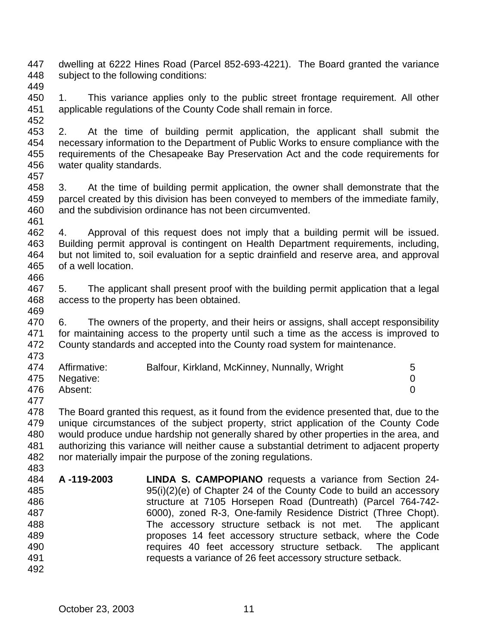- dwelling at 6222 Hines Road (Parcel 852-693-4221). The Board granted the variance subject to the following conditions:
- 
- 1. This variance applies only to the public street frontage requirement. All other applicable regulations of the County Code shall remain in force.
- 

 2. At the time of building permit application, the applicant shall submit the necessary information to the Department of Public Works to ensure compliance with the requirements of the Chesapeake Bay Preservation Act and the code requirements for water quality standards.

 3. At the time of building permit application, the owner shall demonstrate that the parcel created by this division has been conveyed to members of the immediate family, and the subdivision ordinance has not been circumvented.

 4. Approval of this request does not imply that a building permit will be issued. Building permit approval is contingent on Health Department requirements, including, but not limited to, soil evaluation for a septic drainfield and reserve area, and approval of a well location. 

 5. The applicant shall present proof with the building permit application that a legal access to the property has been obtained. 

 6. The owners of the property, and their heirs or assigns, shall accept responsibility for maintaining access to the property until such a time as the access is improved to County standards and accepted into the County road system for maintenance. 

- 474 Affirmative: Balfour, Kirkland, McKinney, Nunnally, Wright 5 Negative: 0 Absent: 0
- 

 The Board granted this request, as it found from the evidence presented that, due to the unique circumstances of the subject property, strict application of the County Code would produce undue hardship not generally shared by other properties in the area, and authorizing this variance will neither cause a substantial detriment to adjacent property nor materially impair the purpose of the zoning regulations. 

- **A -119-2003 LINDA S. CAMPOPIANO** requests a variance from Section 24- 95(i)(2)(e) of Chapter 24 of the County Code to build an accessory structure at 7105 Horsepen Road (Duntreath) (Parcel 764-742- 6000), zoned R-3, One-family Residence District (Three Chopt). The accessory structure setback is not met. The applicant proposes 14 feet accessory structure setback, where the Code requires 40 feet accessory structure setback. The applicant requests a variance of 26 feet accessory structure setback.
	- October 23, 2003 11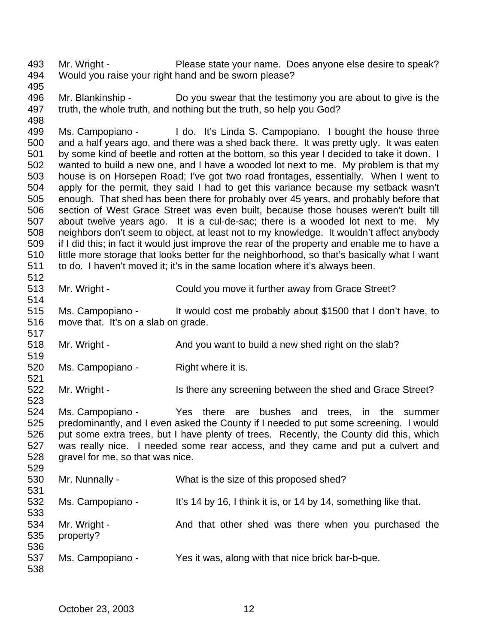Mr. Wright - Please state your name. Does anyone else desire to speak? Would you raise your right hand and be sworn please?

 Mr. Blankinship - Do you swear that the testimony you are about to give is the truth, the whole truth, and nothing but the truth, so help you God? 

 Ms. Campopiano - I do. It's Linda S. Campopiano. I bought the house three and a half years ago, and there was a shed back there. It was pretty ugly. It was eaten by some kind of beetle and rotten at the bottom, so this year I decided to take it down. I wanted to build a new one, and I have a wooded lot next to me. My problem is that my house is on Horsepen Road; I've got two road frontages, essentially. When I went to apply for the permit, they said I had to get this variance because my setback wasn't enough. That shed has been there for probably over 45 years, and probably before that section of West Grace Street was even built, because those houses weren't built till about twelve years ago. It is a cul-de-sac; there is a wooded lot next to me. My neighbors don't seem to object, at least not to my knowledge. It wouldn't affect anybody if I did this; in fact it would just improve the rear of the property and enable me to have a little more storage that looks better for the neighborhood, so that's basically what I want to do. I haven't moved it; it's in the same location where it's always been.

 Mr. Wright - Could you move it further away from Grace Street? 

 Ms. Campopiano - It would cost me probably about \$1500 that I don't have, to move that. It's on a slab on grade. 

518 Mr. Wright - And you want to build a new shed right on the slab?

520 Ms. Campopiano - Right where it is.

522 Mr. Wright - Is there any screening between the shed and Grace Street?

 Ms. Campopiano - Yes there are bushes and trees, in the summer predominantly, and I even asked the County if I needed to put some screening. I would put some extra trees, but I have plenty of trees. Recently, the County did this, which was really nice. I needed some rear access, and they came and put a culvert and 528 gravel for me, so that was nice.

| 530<br>531        | Mr. Nunnally -            | What is the size of this proposed shed?                         |
|-------------------|---------------------------|-----------------------------------------------------------------|
| 532<br>533        | Ms. Campopiano -          | It's 14 by 16, I think it is, or 14 by 14, something like that. |
| 534<br>535<br>536 | Mr. Wright -<br>property? | And that other shed was there when you purchased the            |
| 537<br>538        | Ms. Campopiano -          | Yes it was, along with that nice brick bar-b-que.               |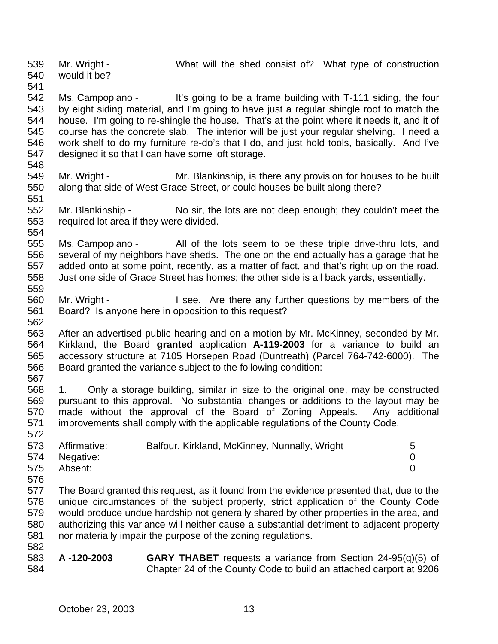Mr. Wright - What will the shed consist of? What type of construction would it be?

 Ms. Campopiano - It's going to be a frame building with T-111 siding, the four by eight siding material, and I'm going to have just a regular shingle roof to match the house. I'm going to re-shingle the house. That's at the point where it needs it, and it of course has the concrete slab. The interior will be just your regular shelving. I need a work shelf to do my furniture re-do's that I do, and just hold tools, basically. And I've designed it so that I can have some loft storage.

- 
- Mr. Wright Mr. Blankinship, is there any provision for houses to be built along that side of West Grace Street, or could houses be built along there?
- Mr. Blankinship No sir, the lots are not deep enough; they couldn't meet the required lot area if they were divided.
- Ms. Campopiano All of the lots seem to be these triple drive-thru lots, and several of my neighbors have sheds. The one on the end actually has a garage that he added onto at some point, recently, as a matter of fact, and that's right up on the road. Just one side of Grace Street has homes; the other side is all back yards, essentially.
- Mr. Wright I see. Are there any further questions by members of the Board? Is anyone here in opposition to this request?
- After an advertised public hearing and on a motion by Mr. McKinney, seconded by Mr. Kirkland, the Board **granted** application **A-119-2003** for a variance to build an accessory structure at 7105 Horsepen Road (Duntreath) (Parcel 764-742-6000). The Board granted the variance subject to the following condition:
- 

 1. Only a storage building, similar in size to the original one, may be constructed pursuant to this approval. No substantial changes or additions to the layout may be made without the approval of the Board of Zoning Appeals. Any additional improvements shall comply with the applicable regulations of the County Code. 

|     | 573 Affirmative: | Balfour, Kirkland, McKinney, Nunnally, Wright | - 5 |
|-----|------------------|-----------------------------------------------|-----|
|     | 574 Negative:    |                                               |     |
| 575 | Absent:          |                                               |     |

 The Board granted this request, as it found from the evidence presented that, due to the unique circumstances of the subject property, strict application of the County Code would produce undue hardship not generally shared by other properties in the area, and authorizing this variance will neither cause a substantial detriment to adjacent property nor materially impair the purpose of the zoning regulations. 

 **A -120-2003 GARY THABET** requests a variance from Section 24-95(q)(5) of Chapter 24 of the County Code to build an attached carport at 9206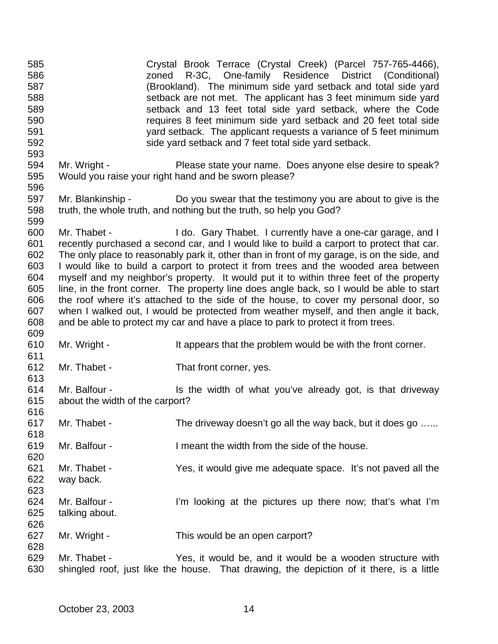| 585<br>586<br>587<br>588<br>589<br>590<br>591<br>592               |                                                  | Crystal Brook Terrace (Crystal Creek) (Parcel 757-765-4466),<br>R-3C, One-family Residence District (Conditional)<br>zoned<br>(Brookland). The minimum side yard setback and total side yard<br>setback are not met. The applicant has 3 feet minimum side yard<br>setback and 13 feet total side yard setback, where the Code<br>requires 8 feet minimum side yard setback and 20 feet total side<br>yard setback. The applicant requests a variance of 5 feet minimum<br>side yard setback and 7 feet total side yard setback.                                                                                                                                                                                                                                                                                         |
|--------------------------------------------------------------------|--------------------------------------------------|--------------------------------------------------------------------------------------------------------------------------------------------------------------------------------------------------------------------------------------------------------------------------------------------------------------------------------------------------------------------------------------------------------------------------------------------------------------------------------------------------------------------------------------------------------------------------------------------------------------------------------------------------------------------------------------------------------------------------------------------------------------------------------------------------------------------------|
| 593<br>594<br>595<br>596                                           | Mr. Wright -                                     | Please state your name. Does anyone else desire to speak?<br>Would you raise your right hand and be sworn please?                                                                                                                                                                                                                                                                                                                                                                                                                                                                                                                                                                                                                                                                                                        |
| 597<br>598<br>599                                                  |                                                  | Mr. Blankinship - Do you swear that the testimony you are about to give is the<br>truth, the whole truth, and nothing but the truth, so help you God?                                                                                                                                                                                                                                                                                                                                                                                                                                                                                                                                                                                                                                                                    |
| 600<br>601<br>602<br>603<br>604<br>605<br>606<br>607<br>608<br>609 |                                                  | Mr. Thabet - I do. Gary Thabet. I currently have a one-car garage, and I<br>recently purchased a second car, and I would like to build a carport to protect that car.<br>The only place to reasonably park it, other than in front of my garage, is on the side, and<br>I would like to build a carport to protect it from trees and the wooded area between<br>myself and my neighbor's property. It would put it to within three feet of the property<br>line, in the front corner. The property line does angle back, so I would be able to start<br>the roof where it's attached to the side of the house, to cover my personal door, so<br>when I walked out, I would be protected from weather myself, and then angle it back,<br>and be able to protect my car and have a place to park to protect it from trees. |
| 610<br>611                                                         | Mr. Wright -                                     | It appears that the problem would be with the front corner.                                                                                                                                                                                                                                                                                                                                                                                                                                                                                                                                                                                                                                                                                                                                                              |
| 612<br>613                                                         | Mr. Thabet -                                     | That front corner, yes.                                                                                                                                                                                                                                                                                                                                                                                                                                                                                                                                                                                                                                                                                                                                                                                                  |
| 614<br>615<br>616                                                  | Mr. Balfour -<br>about the width of the carport? | Is the width of what you've already got, is that driveway                                                                                                                                                                                                                                                                                                                                                                                                                                                                                                                                                                                                                                                                                                                                                                |
| 617<br>618                                                         | Mr. Thabet -                                     | The driveway doesn't go all the way back, but it does go                                                                                                                                                                                                                                                                                                                                                                                                                                                                                                                                                                                                                                                                                                                                                                 |
| 619<br>620                                                         | Mr. Balfour -                                    | I meant the width from the side of the house.                                                                                                                                                                                                                                                                                                                                                                                                                                                                                                                                                                                                                                                                                                                                                                            |
| 621<br>622<br>623                                                  | Mr. Thabet -<br>way back.                        | Yes, it would give me adequate space. It's not paved all the                                                                                                                                                                                                                                                                                                                                                                                                                                                                                                                                                                                                                                                                                                                                                             |
| 624<br>625<br>626                                                  | Mr. Balfour -<br>talking about.                  | I'm looking at the pictures up there now; that's what I'm                                                                                                                                                                                                                                                                                                                                                                                                                                                                                                                                                                                                                                                                                                                                                                |
| 627<br>628                                                         | Mr. Wright -                                     | This would be an open carport?                                                                                                                                                                                                                                                                                                                                                                                                                                                                                                                                                                                                                                                                                                                                                                                           |
| 629<br>630                                                         | Mr. Thabet -                                     | Yes, it would be, and it would be a wooden structure with<br>shingled roof, just like the house. That drawing, the depiction of it there, is a little                                                                                                                                                                                                                                                                                                                                                                                                                                                                                                                                                                                                                                                                    |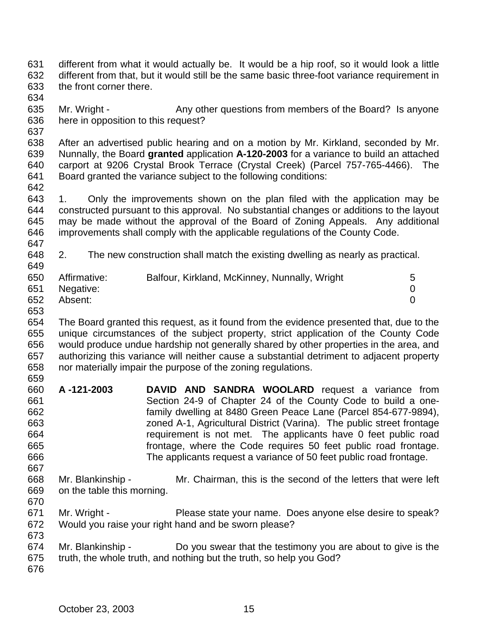- different from what it would actually be. It would be a hip roof, so it would look a little different from that, but it would still be the same basic three-foot variance requirement in the front corner there.
- 
- Mr. Wright Any other questions from members of the Board? Is anyone here in opposition to this request?
- 

 After an advertised public hearing and on a motion by Mr. Kirkland, seconded by Mr. Nunnally, the Board **granted** application **A-120-2003** for a variance to build an attached carport at 9206 Crystal Brook Terrace (Crystal Creek) (Parcel 757-765-4466). The Board granted the variance subject to the following conditions:

 1. Only the improvements shown on the plan filed with the application may be constructed pursuant to this approval. No substantial changes or additions to the layout may be made without the approval of the Board of Zoning Appeals. Any additional improvements shall comply with the applicable regulations of the County Code. 

 2. The new construction shall match the existing dwelling as nearly as practical. 

| 650 | Affirmative: | Balfour, Kirkland, McKinney, Nunnally, Wright | 5 |
|-----|--------------|-----------------------------------------------|---|
| 651 | Negative:    |                                               |   |
| 652 | Absent:      |                                               |   |

 The Board granted this request, as it found from the evidence presented that, due to the unique circumstances of the subject property, strict application of the County Code would produce undue hardship not generally shared by other properties in the area, and authorizing this variance will neither cause a substantial detriment to adjacent property nor materially impair the purpose of the zoning regulations. 

- **A -121-2003 DAVID AND SANDRA WOOLARD** request a variance from Section 24-9 of Chapter 24 of the County Code to build a one- family dwelling at 8480 Green Peace Lane (Parcel 854-677-9894), zoned A-1, Agricultural District (Varina). The public street frontage requirement is not met. The applicants have 0 feet public road frontage, where the Code requires 50 feet public road frontage. The applicants request a variance of 50 feet public road frontage.
- Mr. Blankinship Mr. Chairman, this is the second of the letters that were left on the table this morning.
- 

- Mr. Wright Please state your name. Does anyone else desire to speak? Would you raise your right hand and be sworn please?
- Mr. Blankinship Do you swear that the testimony you are about to give is the truth, the whole truth, and nothing but the truth, so help you God?
-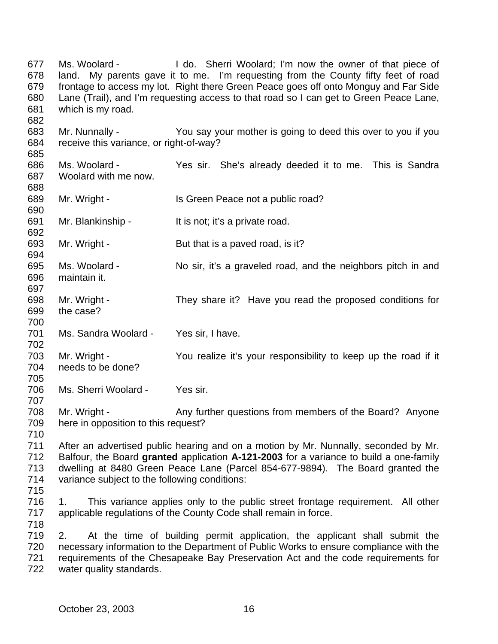Ms. Woolard - I do. Sherri Woolard; I'm now the owner of that piece of land. My parents gave it to me. I'm requesting from the County fifty feet of road frontage to access my lot. Right there Green Peace goes off onto Monguy and Far Side Lane (Trail), and I'm requesting access to that road so I can get to Green Peace Lane, which is my road. Mr. Nunnally - You say your mother is going to deed this over to you if you receive this variance, or right-of-way? Ms. Woolard - Yes sir. She's already deeded it to me. This is Sandra Woolard with me now. 689 Mr. Wright - Is Green Peace not a public road? Mr. Blankinship - It is not; it's a private road. Mr. Wright - But that is a paved road, is it? Ms. Woolard - No sir, it's a graveled road, and the neighbors pitch in and maintain it. Mr. Wright - They share it? Have you read the proposed conditions for the case? Ms. Sandra Woolard - Yes sir, I have. Mr. Wright - You realize it's your responsibility to keep up the road if it needs to be done? Ms. Sherri Woolard - Yes sir. 708 Mr. Wright - Any further questions from members of the Board? Anyone here in opposition to this request? After an advertised public hearing and on a motion by Mr. Nunnally, seconded by Mr. Balfour, the Board **granted** application **A-121-2003** for a variance to build a one-family dwelling at 8480 Green Peace Lane (Parcel 854-677-9894). The Board granted the variance subject to the following conditions: 1. This variance applies only to the public street frontage requirement. All other applicable regulations of the County Code shall remain in force. 2. At the time of building permit application, the applicant shall submit the necessary information to the Department of Public Works to ensure compliance with the requirements of the Chesapeake Bay Preservation Act and the code requirements for water quality standards.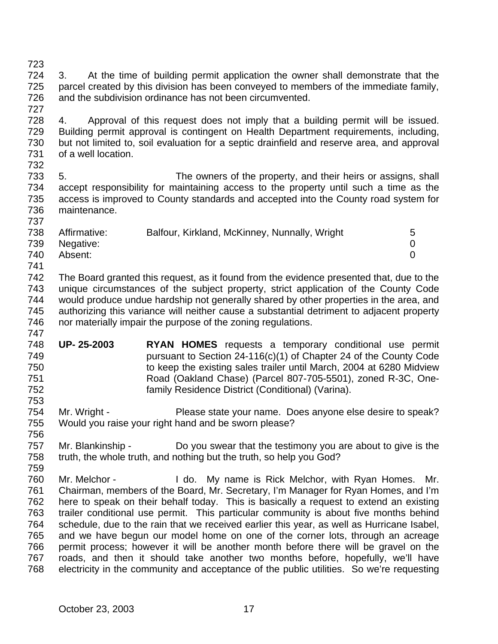3. At the time of building permit application the owner shall demonstrate that the parcel created by this division has been conveyed to members of the immediate family, and the subdivision ordinance has not been circumvented.

 4. Approval of this request does not imply that a building permit will be issued. Building permit approval is contingent on Health Department requirements, including, but not limited to, soil evaluation for a septic drainfield and reserve area, and approval of a well location. 

 5. The owners of the property, and their heirs or assigns, shall accept responsibility for maintaining access to the property until such a time as the access is improved to County standards and accepted into the County road system for maintenance. 

| 738 | Affirmative:  | Balfour, Kirkland, McKinney, Nunnally, Wright | 5 |
|-----|---------------|-----------------------------------------------|---|
|     | 739 Negative: |                                               |   |
| 740 | Absent:       |                                               |   |
| 741 |               |                                               |   |

 The Board granted this request, as it found from the evidence presented that, due to the unique circumstances of the subject property, strict application of the County Code would produce undue hardship not generally shared by other properties in the area, and authorizing this variance will neither cause a substantial detriment to adjacent property nor materially impair the purpose of the zoning regulations. 

- **UP- 25-2003 RYAN HOMES** requests a temporary conditional use permit pursuant to Section 24-116(c)(1) of Chapter 24 of the County Code to keep the existing sales trailer until March, 2004 at 6280 Midview Road (Oakland Chase) (Parcel 807-705-5501), zoned R-3C, One-family Residence District (Conditional) (Varina).
- Mr. Wright Please state your name. Does anyone else desire to speak? Would you raise your right hand and be sworn please?
- Mr. Blankinship Do you swear that the testimony you are about to give is the truth, the whole truth, and nothing but the truth, so help you God?
- Mr. Melchor I do. My name is Rick Melchor, with Ryan Homes. Mr. Chairman, members of the Board, Mr. Secretary, I'm Manager for Ryan Homes, and I'm here to speak on their behalf today. This is basically a request to extend an existing trailer conditional use permit. This particular community is about five months behind schedule, due to the rain that we received earlier this year, as well as Hurricane Isabel, and we have begun our model home on one of the corner lots, through an acreage permit process; however it will be another month before there will be gravel on the roads, and then it should take another two months before, hopefully, we'll have electricity in the community and acceptance of the public utilities. So we're requesting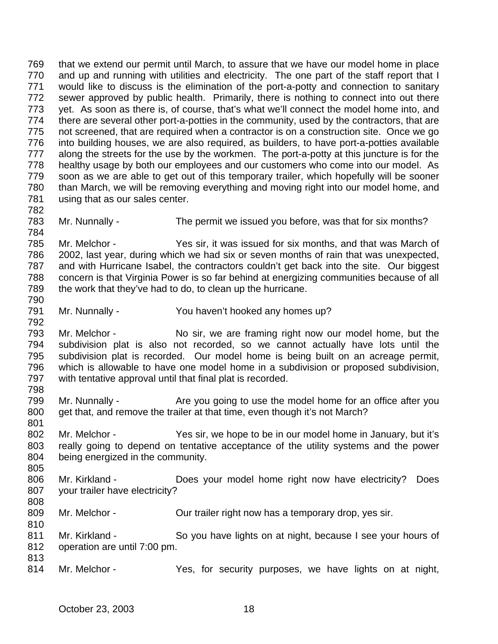that we extend our permit until March, to assure that we have our model home in place 770 and up and running with utilities and electricity. The one part of the staff report that I would like to discuss is the elimination of the port-a-potty and connection to sanitary sewer approved by public health. Primarily, there is nothing to connect into out there yet. As soon as there is, of course, that's what we'll connect the model home into, and 774 there are several other port-a-potties in the community, used by the contractors, that are not screened, that are required when a contractor is on a construction site. Once we go into building houses, we are also required, as builders, to have port-a-potties available 777 along the streets for the use by the workmen. The port-a-potty at this juncture is for the healthy usage by both our employees and our customers who come into our model. As soon as we are able to get out of this temporary trailer, which hopefully will be sooner than March, we will be removing everything and moving right into our model home, and using that as our sales center. 783 Mr. Nunnally - The permit we issued you before, was that for six months? Mr. Melchor - Yes sir, it was issued for six months, and that was March of 2002, last year, during which we had six or seven months of rain that was unexpected, and with Hurricane Isabel, the contractors couldn't get back into the site. Our biggest concern is that Virginia Power is so far behind at energizing communities because of all the work that they've had to do, to clean up the hurricane. Mr. Nunnally - You haven't hooked any homes up? Mr. Melchor - No sir, we are framing right now our model home, but the subdivision plat is also not recorded, so we cannot actually have lots until the subdivision plat is recorded. Our model home is being built on an acreage permit, which is allowable to have one model home in a subdivision or proposed subdivision, with tentative approval until that final plat is recorded. 799 Mr. Nunnally - Are you going to use the model home for an office after you 800 get that, and remove the trailer at that time, even though it's not March? Mr. Melchor - Yes sir, we hope to be in our model home in January, but it's really going to depend on tentative acceptance of the utility systems and the power being energized in the community. Mr. Kirkland - Does your model home right now have electricity? Does your trailer have electricity? 809 Mr. Melchor - **Our trailer right now has a temporary drop**, yes sir. Mr. Kirkland - So you have lights on at night, because I see your hours of operation are until 7:00 pm. 814 Mr. Melchor - Yes, for security purposes, we have lights on at night,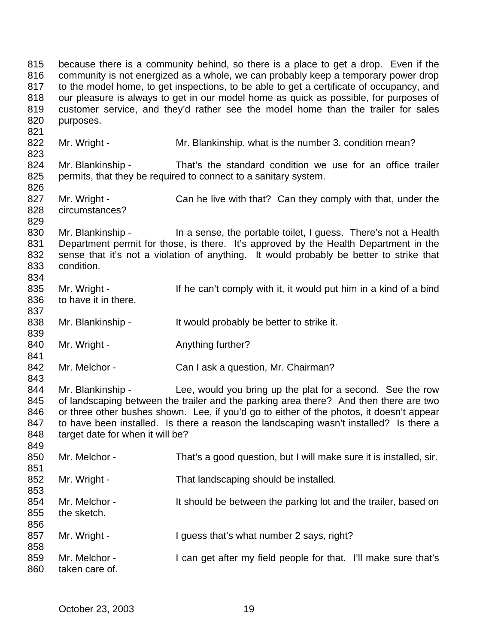because there is a community behind, so there is a place to get a drop. Even if the community is not energized as a whole, we can probably keep a temporary power drop to the model home, to get inspections, to be able to get a certificate of occupancy, and our pleasure is always to get in our model home as quick as possible, for purposes of customer service, and they'd rather see the model home than the trailer for sales purposes. 822 Mr. Wright - Mr. Blankinship, what is the number 3. condition mean? 824 Mr. Blankinship - That's the standard condition we use for an office trailer permits, that they be required to connect to a sanitary system. 827 Mr. Wright - Can he live with that? Can they comply with that, under the circumstances? 830 Mr. Blankinship - In a sense, the portable toilet, I guess. There's not a Health Department permit for those, is there. It's approved by the Health Department in the sense that it's not a violation of anything. It would probably be better to strike that condition. 835 Mr. Wright - If he can't comply with it, it would put him in a kind of a bind to have it in there. 838 Mr. Blankinship - It would probably be better to strike it. 840 Mr. Wright - Anything further? 842 Mr. Melchor - Can I ask a question, Mr. Chairman? 844 Mr. Blankinship - Lee, would you bring up the plat for a second. See the row of landscaping between the trailer and the parking area there? And then there are two or three other bushes shown. Lee, if you'd go to either of the photos, it doesn't appear to have been installed. Is there a reason the landscaping wasn't installed? Is there a 848 target date for when it will be? Mr. Melchor - That's a good question, but I will make sure it is installed, sir. Mr. Wright - That landscaping should be installed. 854 Mr. Melchor - It should be between the parking lot and the trailer, based on the sketch. 857 Mr. Wright - I guess that's what number 2 says, right? 859 Mr. Melchor - I can get after my field people for that. I'll make sure that's taken care of.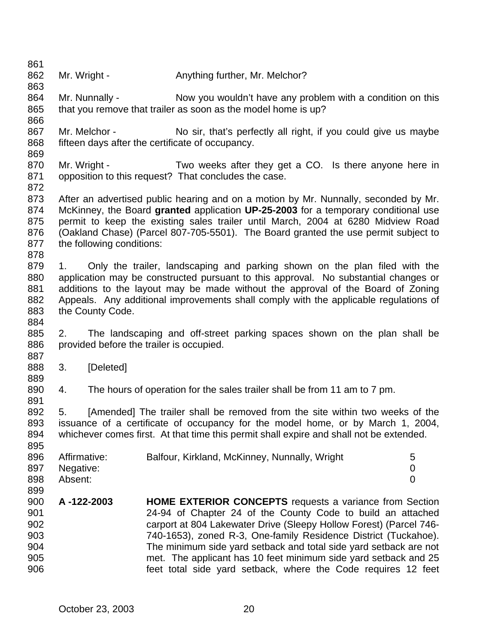862 Mr. Wright - Anything further, Mr. Melchor? 864 Mr. Nunnally - Now you wouldn't have any problem with a condition on this 865 that you remove that trailer as soon as the model home is up? 867 Mr. Melchor - No sir, that's perfectly all right, if you could give us maybe fifteen days after the certificate of occupancy. 870 Mr. Wright - Two weeks after they get a CO. Is there anyone here in opposition to this request? That concludes the case. After an advertised public hearing and on a motion by Mr. Nunnally, seconded by Mr. McKinney, the Board **granted** application **UP-25-2003** for a temporary conditional use permit to keep the existing sales trailer until March, 2004 at 6280 Midview Road (Oakland Chase) (Parcel 807-705-5501). The Board granted the use permit subject to 877 the following conditions: 1. Only the trailer, landscaping and parking shown on the plan filed with the application may be constructed pursuant to this approval. No substantial changes or additions to the layout may be made without the approval of the Board of Zoning Appeals. Any additional improvements shall comply with the applicable regulations of the County Code. 2. The landscaping and off-street parking spaces shown on the plan shall be 886 provided before the trailer is occupied. 3. [Deleted] 4. The hours of operation for the sales trailer shall be from 11 am to 7 pm. 5. [Amended] The trailer shall be removed from the site within two weeks of the issuance of a certificate of occupancy for the model home, or by March 1, 2004, whichever comes first. At that time this permit shall expire and shall not be extended. 896 Affirmative: Balfour, Kirkland, McKinney, Nunnally, Wright 5 Negative: 0 Absent: 0 **A -122-2003 HOME EXTERIOR CONCEPTS** requests a variance from Section 24-94 of Chapter 24 of the County Code to build an attached carport at 804 Lakewater Drive (Sleepy Hollow Forest) (Parcel 746- 740-1653), zoned R-3, One-family Residence District (Tuckahoe). The minimum side yard setback and total side yard setback are not met. The applicant has 10 feet minimum side yard setback and 25 feet total side yard setback, where the Code requires 12 feet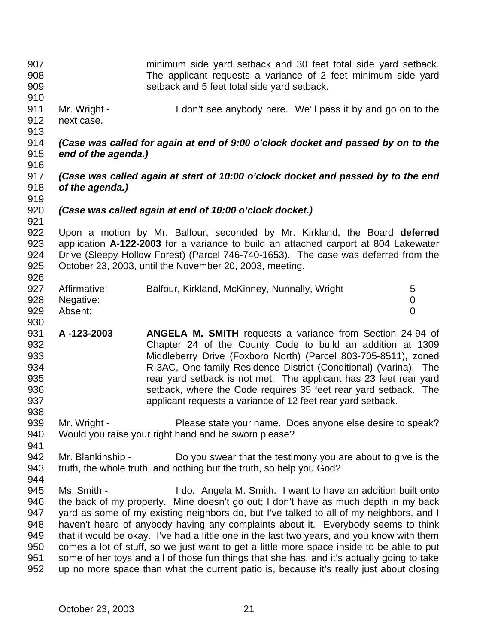minimum side yard setback and 30 feet total side yard setback. The applicant requests a variance of 2 feet minimum side yard setback and 5 feet total side yard setback. Mr. Wright - I don't see anybody here. We'll pass it by and go on to the next case. *(Case was called for again at end of 9:00 o'clock docket and passed by on to the end of the agenda.) (Case was called again at start of 10:00 o'clock docket and passed by to the end of the agenda.) (Case was called again at end of 10:00 o'clock docket.)* Upon a motion by Mr. Balfour, seconded by Mr. Kirkland, the Board **deferred** application **A-122-2003** for a variance to build an attached carport at 804 Lakewater Drive (Sleepy Hollow Forest) (Parcel 746-740-1653). The case was deferred from the October 23, 2003, until the November 20, 2003, meeting. 927 Affirmative: Balfour, Kirkland, McKinney, Nunnally, Wright 5 Negative: 0 Absent: 0 **A -123-2003 ANGELA M. SMITH** requests a variance from Section 24-94 of Chapter 24 of the County Code to build an addition at 1309 Middleberry Drive (Foxboro North) (Parcel 803-705-8511), zoned R-3AC, One-family Residence District (Conditional) (Varina). The rear yard setback is not met. The applicant has 23 feet rear yard setback, where the Code requires 35 feet rear yard setback. The applicant requests a variance of 12 feet rear yard setback. 939 Mr. Wright - Please state your name. Does anyone else desire to speak? Would you raise your right hand and be sworn please? 942 Mr. Blankinship - Do you swear that the testimony you are about to give is the truth, the whole truth, and nothing but the truth, so help you God? 945 Ms. Smith - I do. Angela M. Smith. I want to have an addition built onto the back of my property. Mine doesn't go out; I don't have as much depth in my back yard as some of my existing neighbors do, but I've talked to all of my neighbors, and I haven't heard of anybody having any complaints about it. Everybody seems to think that it would be okay. I've had a little one in the last two years, and you know with them comes a lot of stuff, so we just want to get a little more space inside to be able to put some of her toys and all of those fun things that she has, and it's actually going to take up no more space than what the current patio is, because it's really just about closing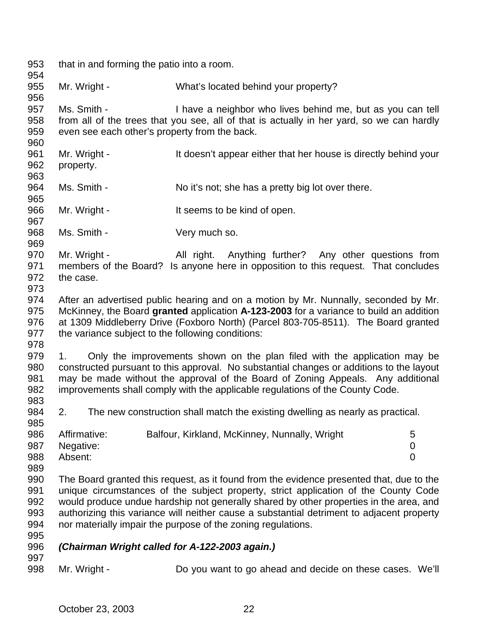that in and forming the patio into a room. Mr. Wright - What's located behind your property? Ms. Smith - I have a neighbor who lives behind me, but as you can tell from all of the trees that you see, all of that is actually in her yard, so we can hardly even see each other's property from the back. Mr. Wright - It doesn't appear either that her house is directly behind your property. 964 Ms. Smith - No it's not; she has a pretty big lot over there. 966 Mr. Wright - It seems to be kind of open. 968 Ms. Smith - Very much so. 970 Mr. Wright - All right. Anything further? Any other questions from members of the Board? Is anyone here in opposition to this request. That concludes the case. After an advertised public hearing and on a motion by Mr. Nunnally, seconded by Mr. McKinney, the Board **granted** application **A-123-2003** for a variance to build an addition at 1309 Middleberry Drive (Foxboro North) (Parcel 803-705-8511). The Board granted the variance subject to the following conditions: 1. Only the improvements shown on the plan filed with the application may be constructed pursuant to this approval. No substantial changes or additions to the layout may be made without the approval of the Board of Zoning Appeals. Any additional improvements shall comply with the applicable regulations of the County Code. 2. The new construction shall match the existing dwelling as nearly as practical. 986 Affirmative: Balfour, Kirkland, McKinney, Nunnally, Wright 5 Negative: 0 Absent: 0 The Board granted this request, as it found from the evidence presented that, due to the unique circumstances of the subject property, strict application of the County Code would produce undue hardship not generally shared by other properties in the area, and authorizing this variance will neither cause a substantial detriment to adjacent property nor materially impair the purpose of the zoning regulations. *(Chairman Wright called for A-122-2003 again.)* Mr. Wright - Do you want to go ahead and decide on these cases. We'll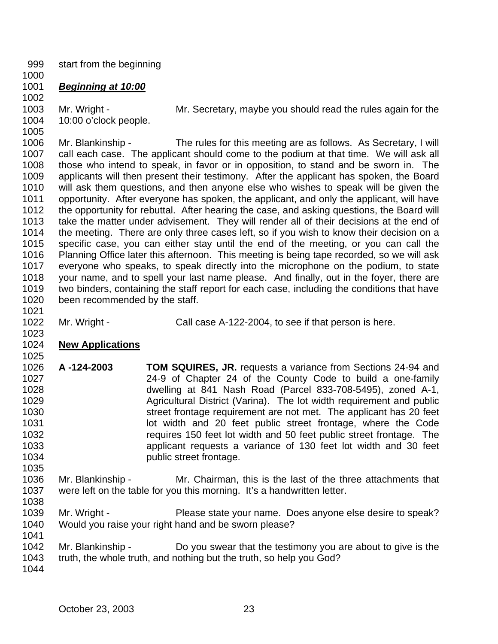start from the beginning

# *Beginning at 10:00*

Mr. Wright - Mr. Secretary, maybe you should read the rules again for the

 10:00 o'clock people. 

 Mr. Blankinship - The rules for this meeting are as follows. As Secretary, I will call each case. The applicant should come to the podium at that time. We will ask all those who intend to speak, in favor or in opposition, to stand and be sworn in. The applicants will then present their testimony. After the applicant has spoken, the Board will ask them questions, and then anyone else who wishes to speak will be given the opportunity. After everyone has spoken, the applicant, and only the applicant, will have the opportunity for rebuttal. After hearing the case, and asking questions, the Board will take the matter under advisement. They will render all of their decisions at the end of 1014 the meeting. There are only three cases left, so if you wish to know their decision on a specific case, you can either stay until the end of the meeting, or you can call the Planning Office later this afternoon. This meeting is being tape recorded, so we will ask everyone who speaks, to speak directly into the microphone on the podium, to state your name, and to spell your last name please. And finally, out in the foyer, there are two binders, containing the staff report for each case, including the conditions that have been recommended by the staff.

1022 Mr. Wright - Call case A-122-2004, to see if that person is here.

# **New Applications**

- **A -124-2003 TOM SQUIRES, JR.** requests a variance from Sections 24-94 and 24-9 of Chapter 24 of the County Code to build a one-family dwelling at 841 Nash Road (Parcel 833-708-5495), zoned A-1, Agricultural District (Varina). The lot width requirement and public street frontage requirement are not met. The applicant has 20 feet lot width and 20 feet public street frontage, where the Code requires 150 feet lot width and 50 feet public street frontage. The applicant requests a variance of 130 feet lot width and 30 feet **public street frontage.**
- Mr. Blankinship Mr. Chairman, this is the last of the three attachments that were left on the table for you this morning. It's a handwritten letter.
- 

- Mr. Wright Please state your name. Does anyone else desire to speak? Would you raise your right hand and be sworn please?
- Mr. Blankinship Do you swear that the testimony you are about to give is the
- truth, the whole truth, and nothing but the truth, so help you God?
-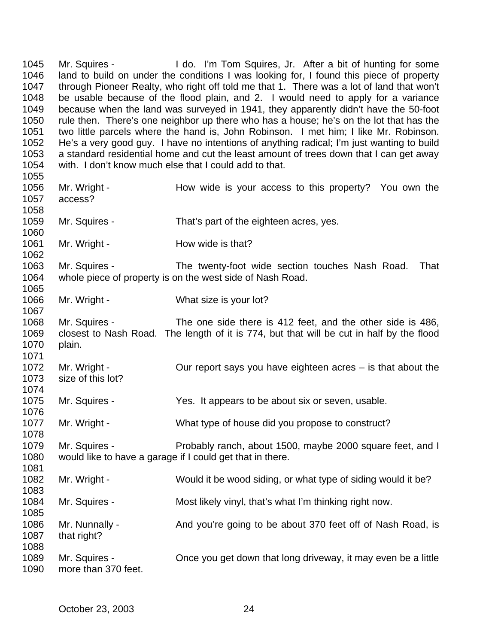Mr. Squires - I do. I'm Tom Squires, Jr. After a bit of hunting for some land to build on under the conditions I was looking for, I found this piece of property through Pioneer Realty, who right off told me that 1. There was a lot of land that won't be usable because of the flood plain, and 2. I would need to apply for a variance because when the land was surveyed in 1941, they apparently didn't have the 50-foot rule then. There's one neighbor up there who has a house; he's on the lot that has the two little parcels where the hand is, John Robinson. I met him; I like Mr. Robinson. He's a very good guy. I have no intentions of anything radical; I'm just wanting to build a standard residential home and cut the least amount of trees down that I can get away with. I don't know much else that I could add to that. 1056 Mr. Wright - How wide is your access to this property? You own the access? Mr. Squires - That's part of the eighteen acres, yes. 1061 Mr. Wright - How wide is that? Mr. Squires - The twenty-foot wide section touches Nash Road. That whole piece of property is on the west side of Nash Road. 1066 Mr. Wright - What size is your lot? Mr. Squires - The one side there is 412 feet, and the other side is 486, closest to Nash Road. The length of it is 774, but that will be cut in half by the flood plain. Mr. Wright - Our report says you have eighteen acres – is that about the size of this lot? Mr. Squires - Yes. It appears to be about six or seven, usable. 1077 Mr. Wright - What type of house did you propose to construct? Mr. Squires - Probably ranch, about 1500, maybe 2000 square feet, and I would like to have a garage if I could get that in there. Mr. Wright - Would it be wood siding, or what type of siding would it be? 1084 Mr. Squires - Most likely vinyl, that's what I'm thinking right now. 1086 Mr. Nunnally - And you're going to be about 370 feet off of Nash Road, is that right? Mr. Squires - Once you get down that long driveway, it may even be a little more than 370 feet.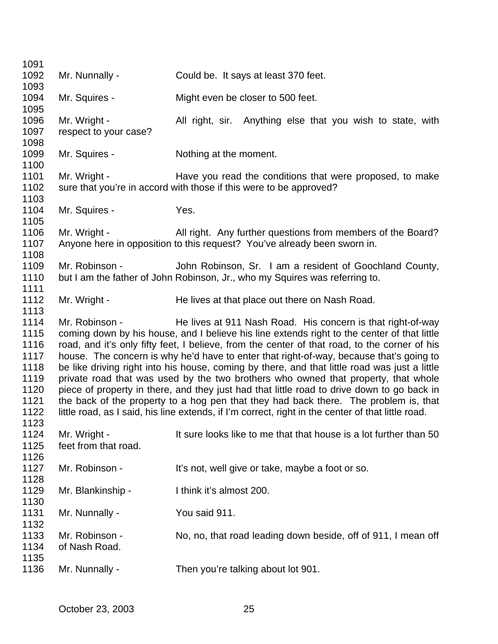| 1091 |                       |                                                                                                    |
|------|-----------------------|----------------------------------------------------------------------------------------------------|
| 1092 | Mr. Nunnally -        | Could be. It says at least 370 feet.                                                               |
| 1093 |                       |                                                                                                    |
| 1094 | Mr. Squires -         | Might even be closer to 500 feet.                                                                  |
| 1095 |                       |                                                                                                    |
| 1096 | Mr. Wright -          | All right, sir. Anything else that you wish to state, with                                         |
| 1097 | respect to your case? |                                                                                                    |
| 1098 |                       |                                                                                                    |
| 1099 | Mr. Squires -         | Nothing at the moment.                                                                             |
| 1100 |                       |                                                                                                    |
| 1101 | Mr. Wright -          | Have you read the conditions that were proposed, to make                                           |
| 1102 |                       | sure that you're in accord with those if this were to be approved?                                 |
| 1103 |                       |                                                                                                    |
| 1104 | Mr. Squires -         | Yes.                                                                                               |
| 1105 |                       |                                                                                                    |
| 1106 | Mr. Wright -          | All right. Any further questions from members of the Board?                                        |
| 1107 |                       | Anyone here in opposition to this request? You've already been sworn in.                           |
| 1108 |                       |                                                                                                    |
| 1109 | Mr. Robinson -        | John Robinson, Sr. I am a resident of Goochland County,                                            |
| 1110 |                       | but I am the father of John Robinson, Jr., who my Squires was referring to.                        |
| 1111 |                       |                                                                                                    |
| 1112 | Mr. Wright -          | He lives at that place out there on Nash Road.                                                     |
| 1113 |                       |                                                                                                    |
| 1114 | Mr. Robinson -        | He lives at 911 Nash Road. His concern is that right-of-way                                        |
| 1115 |                       | coming down by his house, and I believe his line extends right to the center of that little        |
| 1116 |                       | road, and it's only fifty feet, I believe, from the center of that road, to the corner of his      |
| 1117 |                       | house. The concern is why he'd have to enter that right-of-way, because that's going to            |
| 1118 |                       | be like driving right into his house, coming by there, and that little road was just a little      |
| 1119 |                       | private road that was used by the two brothers who owned that property, that whole                 |
| 1120 |                       | piece of property in there, and they just had that little road to drive down to go back in         |
| 1121 |                       | the back of the property to a hog pen that they had back there. The problem is, that               |
| 1122 |                       | little road, as I said, his line extends, if I'm correct, right in the center of that little road. |
| 1123 |                       |                                                                                                    |
| 1124 | Mr. Wright -          | It sure looks like to me that that house is a lot further than 50                                  |
| 1125 | feet from that road.  |                                                                                                    |
| 1126 |                       |                                                                                                    |
| 1127 | Mr. Robinson -        | It's not, well give or take, maybe a foot or so.                                                   |
| 1128 |                       |                                                                                                    |
| 1129 | Mr. Blankinship -     | I think it's almost 200.                                                                           |
| 1130 |                       |                                                                                                    |
| 1131 | Mr. Nunnally -        | You said 911.                                                                                      |
| 1132 |                       |                                                                                                    |
| 1133 | Mr. Robinson -        | No, no, that road leading down beside, off of 911, I mean off                                      |
| 1134 | of Nash Road.         |                                                                                                    |
| 1135 |                       |                                                                                                    |
| 1136 | Mr. Nunnally -        | Then you're talking about lot 901.                                                                 |
|      |                       |                                                                                                    |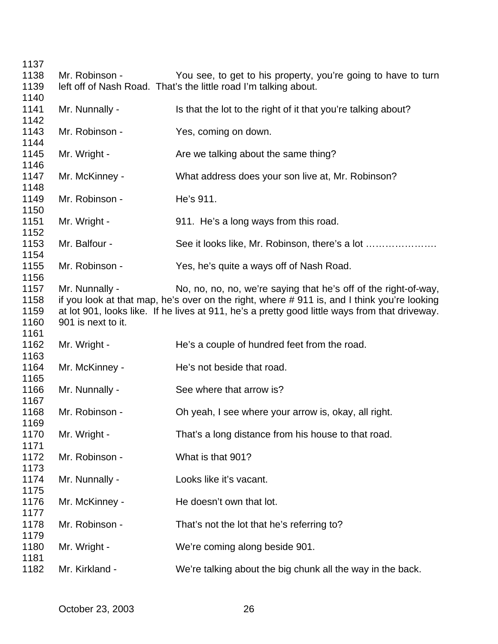| 1137         |                    |                                                                                                |
|--------------|--------------------|------------------------------------------------------------------------------------------------|
| 1138         | Mr. Robinson -     | You see, to get to his property, you're going to have to turn                                  |
| 1139         |                    | left off of Nash Road. That's the little road I'm talking about.                               |
| 1140         |                    |                                                                                                |
| 1141         | Mr. Nunnally -     | Is that the lot to the right of it that you're talking about?                                  |
| 1142         |                    |                                                                                                |
| 1143         | Mr. Robinson -     | Yes, coming on down.                                                                           |
| 1144         |                    |                                                                                                |
| 1145         | Mr. Wright -       | Are we talking about the same thing?                                                           |
| 1146<br>1147 | Mr. McKinney -     |                                                                                                |
| 1148         |                    | What address does your son live at, Mr. Robinson?                                              |
| 1149         | Mr. Robinson -     | He's 911.                                                                                      |
| 1150         |                    |                                                                                                |
| 1151         | Mr. Wright -       | 911. He's a long ways from this road.                                                          |
| 1152         |                    |                                                                                                |
| 1153         | Mr. Balfour -      | See it looks like, Mr. Robinson, there's a lot                                                 |
| 1154         |                    |                                                                                                |
| 1155         | Mr. Robinson -     | Yes, he's quite a ways off of Nash Road.                                                       |
| 1156         |                    |                                                                                                |
| 1157         | Mr. Nunnally -     | No, no, no, no, we're saying that he's off of the right-of-way,                                |
| 1158         |                    | if you look at that map, he's over on the right, where #911 is, and I think you're looking     |
| 1159         |                    | at lot 901, looks like. If he lives at 911, he's a pretty good little ways from that driveway. |
| 1160         | 901 is next to it. |                                                                                                |
| 1161         |                    |                                                                                                |
| 1162         | Mr. Wright -       | He's a couple of hundred feet from the road.                                                   |
| 1163         |                    |                                                                                                |
| 1164         | Mr. McKinney -     | He's not beside that road.                                                                     |
| 1165         |                    |                                                                                                |
| 1166         | Mr. Nunnally -     | See where that arrow is?                                                                       |
| 1167         |                    |                                                                                                |
| 1168         | Mr. Robinson -     | Oh yeah, I see where your arrow is, okay, all right.                                           |
| 1169         |                    |                                                                                                |
| 1170<br>1171 | Mr. Wright -       | That's a long distance from his house to that road.                                            |
| 1172         | Mr. Robinson -     | What is that 901?                                                                              |
| 1173         |                    |                                                                                                |
| 1174         | Mr. Nunnally -     | Looks like it's vacant.                                                                        |
| 1175         |                    |                                                                                                |
| 1176         | Mr. McKinney -     | He doesn't own that lot.                                                                       |
| 1177         |                    |                                                                                                |
| 1178         | Mr. Robinson -     | That's not the lot that he's referring to?                                                     |
| 1179         |                    |                                                                                                |
| 1180         | Mr. Wright -       | We're coming along beside 901.                                                                 |
| 1181         |                    |                                                                                                |
| 1182         | Mr. Kirkland -     | We're talking about the big chunk all the way in the back.                                     |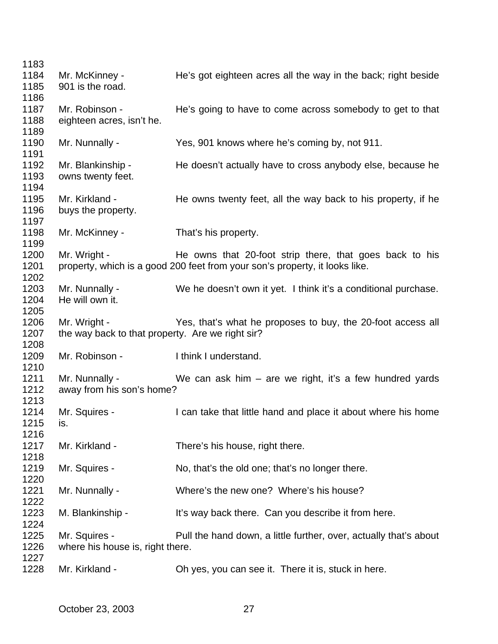| 1183                 |                                                                  |                                                                                                                                        |
|----------------------|------------------------------------------------------------------|----------------------------------------------------------------------------------------------------------------------------------------|
| 1184<br>1185<br>1186 | Mr. McKinney -<br>901 is the road.                               | He's got eighteen acres all the way in the back; right beside                                                                          |
| 1187<br>1188<br>1189 | Mr. Robinson -<br>eighteen acres, isn't he.                      | He's going to have to come across somebody to get to that                                                                              |
| 1190<br>1191         | Mr. Nunnally -                                                   | Yes, 901 knows where he's coming by, not 911.                                                                                          |
| 1192<br>1193<br>1194 | Mr. Blankinship -<br>owns twenty feet.                           | He doesn't actually have to cross anybody else, because he                                                                             |
| 1195<br>1196         | Mr. Kirkland -<br>buys the property.                             | He owns twenty feet, all the way back to his property, if he                                                                           |
| 1197<br>1198<br>1199 | Mr. McKinney -                                                   | That's his property.                                                                                                                   |
| 1200<br>1201<br>1202 | Mr. Wright -                                                     | He owns that 20-foot strip there, that goes back to his<br>property, which is a good 200 feet from your son's property, it looks like. |
| 1203<br>1204<br>1205 | Mr. Nunnally -<br>He will own it.                                | We he doesn't own it yet. I think it's a conditional purchase.                                                                         |
| 1206<br>1207<br>1208 | Mr. Wright -<br>the way back to that property. Are we right sir? | Yes, that's what he proposes to buy, the 20-foot access all                                                                            |
| 1209<br>1210         | Mr. Robinson -                                                   | I think I understand.                                                                                                                  |
| 1211<br>1212<br>1213 | Mr. Nunnally -<br>away from his son's home?                      | We can ask him $-$ are we right, it's a few hundred yards                                                                              |
| 1214<br>1215<br>1216 | Mr. Squires -<br>IS.                                             | I can take that little hand and place it about where his home                                                                          |
| 1217<br>1218         | Mr. Kirkland -                                                   | There's his house, right there.                                                                                                        |
| 1219<br>1220         | Mr. Squires -                                                    | No, that's the old one; that's no longer there.                                                                                        |
| 1221<br>1222         | Mr. Nunnally -                                                   | Where's the new one? Where's his house?                                                                                                |
| 1223<br>1224         | M. Blankinship -                                                 | It's way back there. Can you describe it from here.                                                                                    |
| 1225<br>1226         | Mr. Squires -<br>where his house is, right there.                | Pull the hand down, a little further, over, actually that's about                                                                      |
| 1227<br>1228         | Mr. Kirkland -                                                   | Oh yes, you can see it. There it is, stuck in here.                                                                                    |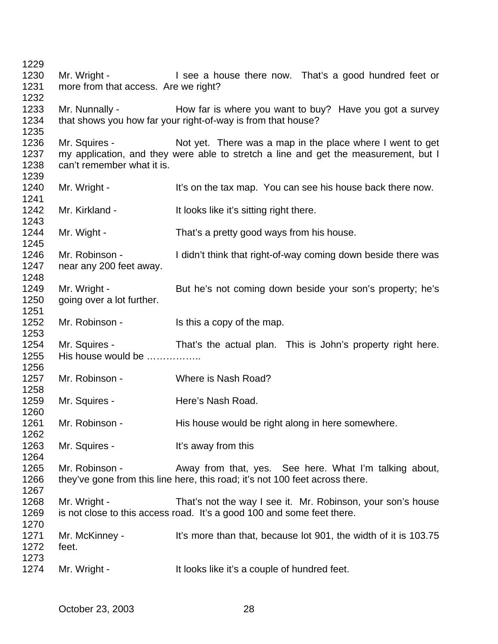1229 1230 Mr. Wright - I see a house there now. That's a good hundred feet or 1231 more from that access. Are we right? 1232 1233 Mr. Nunnally - How far is where you want to buy? Have you got a survey 1234 that shows you how far your right-of-way is from that house? 1235 1236 Mr. Squires - Not yet. There was a map in the place where I went to get 1237 my application, and they were able to stretch a line and get the measurement, but I 1238 can't remember what it is. 1239 1240 Mr. Wright - It's on the tax map. You can see his house back there now. 1241 1242 Mr. Kirkland - It looks like it's sitting right there. 1243 1244 Mr. Wight - That's a pretty good ways from his house. 1245 1246 Mr. Robinson - I didn't think that right-of-way coming down beside there was 1247 near any 200 feet away. 1248 1249 Mr. Wright - But he's not coming down beside your son's property; he's 1250 going over a lot further. 1251 1252 Mr. Robinson - Is this a copy of the map. 1253 1254 Mr. Squires - That's the actual plan. This is John's property right here. 1255 His house would be …………….. 1256 1257 Mr. Robinson - Where is Nash Road? 1258 1259 Mr. Squires - Here's Nash Road. 1260 1261 Mr. Robinson - His house would be right along in here somewhere. 1262 1263 Mr. Squires - It's away from this 1264 1265 Mr. Robinson - Away from that, yes. See here. What I'm talking about, 1266 they've gone from this line here, this road; it's not 100 feet across there. 1267 1268 Mr. Wright - That's not the way I see it. Mr. Robinson, your son's house 1269 is not close to this access road. It's a good 100 and some feet there. 1270 1271 Mr. McKinney - It's more than that, because lot 901, the width of it is 103.75 1272 feet. 1273 1274 Mr. Wright - It looks like it's a couple of hundred feet.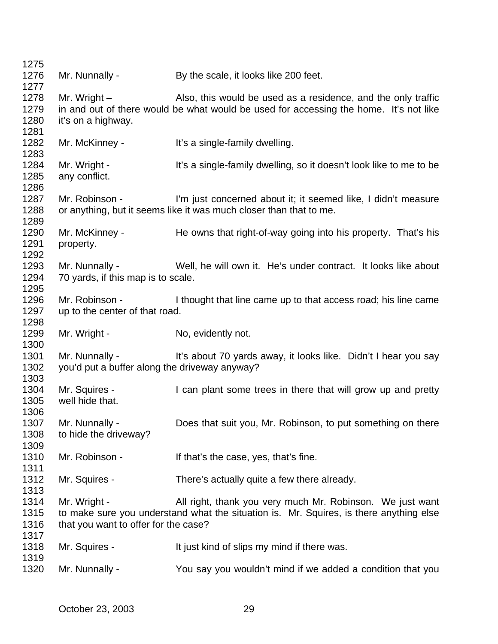| 1275         |                                                                                        |                                                                    |  |  |
|--------------|----------------------------------------------------------------------------------------|--------------------------------------------------------------------|--|--|
| 1276         | Mr. Nunnally -                                                                         | By the scale, it looks like 200 feet.                              |  |  |
| 1277         |                                                                                        |                                                                    |  |  |
| 1278         | Mr. Wright $-$                                                                         | Also, this would be used as a residence, and the only traffic      |  |  |
| 1279         | in and out of there would be what would be used for accessing the home. It's not like  |                                                                    |  |  |
| 1280         | it's on a highway.                                                                     |                                                                    |  |  |
| 1281         |                                                                                        |                                                                    |  |  |
| 1282         | Mr. McKinney -                                                                         | It's a single-family dwelling.                                     |  |  |
| 1283         |                                                                                        |                                                                    |  |  |
| 1284         | Mr. Wright -                                                                           | It's a single-family dwelling, so it doesn't look like to me to be |  |  |
| 1285         | any conflict.                                                                          |                                                                    |  |  |
| 1286         |                                                                                        |                                                                    |  |  |
| 1287         | Mr. Robinson -                                                                         | I'm just concerned about it; it seemed like, I didn't measure      |  |  |
| 1288         |                                                                                        | or anything, but it seems like it was much closer than that to me. |  |  |
| 1289         |                                                                                        |                                                                    |  |  |
| 1290         | Mr. McKinney -                                                                         | He owns that right-of-way going into his property. That's his      |  |  |
| 1291         | property.                                                                              |                                                                    |  |  |
| 1292         |                                                                                        |                                                                    |  |  |
| 1293         | Mr. Nunnally -                                                                         | Well, he will own it. He's under contract. It looks like about     |  |  |
| 1294<br>1295 | 70 yards, if this map is to scale.                                                     |                                                                    |  |  |
| 1296         | Mr. Robinson -                                                                         | I thought that line came up to that access road; his line came     |  |  |
| 1297         | up to the center of that road.                                                         |                                                                    |  |  |
| 1298         |                                                                                        |                                                                    |  |  |
| 1299         | Mr. Wright -                                                                           | No, evidently not.                                                 |  |  |
| 1300         |                                                                                        |                                                                    |  |  |
| 1301         | Mr. Nunnally -                                                                         | It's about 70 yards away, it looks like. Didn't I hear you say     |  |  |
| 1302         | you'd put a buffer along the driveway anyway?                                          |                                                                    |  |  |
| 1303         |                                                                                        |                                                                    |  |  |
| 1304         | Mr. Squires -                                                                          | I can plant some trees in there that will grow up and pretty       |  |  |
| 1305         | well hide that.                                                                        |                                                                    |  |  |
| 1306         |                                                                                        |                                                                    |  |  |
| 1307         | Mr. Nunnally -                                                                         | Does that suit you, Mr. Robinson, to put something on there        |  |  |
| 1308         | to hide the driveway?                                                                  |                                                                    |  |  |
| 1309         |                                                                                        |                                                                    |  |  |
| 1310         | Mr. Robinson -                                                                         | If that's the case, yes, that's fine.                              |  |  |
| 1311         |                                                                                        |                                                                    |  |  |
| 1312         | Mr. Squires -                                                                          | There's actually quite a few there already.                        |  |  |
| 1313         |                                                                                        |                                                                    |  |  |
| 1314         | Mr. Wright -                                                                           | All right, thank you very much Mr. Robinson. We just want          |  |  |
| 1315         | to make sure you understand what the situation is. Mr. Squires, is there anything else |                                                                    |  |  |
| 1316         | that you want to offer for the case?                                                   |                                                                    |  |  |
| 1317         |                                                                                        |                                                                    |  |  |
| 1318         | Mr. Squires -                                                                          | It just kind of slips my mind if there was.                        |  |  |
| 1319         |                                                                                        |                                                                    |  |  |
| 1320         | Mr. Nunnally -                                                                         | You say you wouldn't mind if we added a condition that you         |  |  |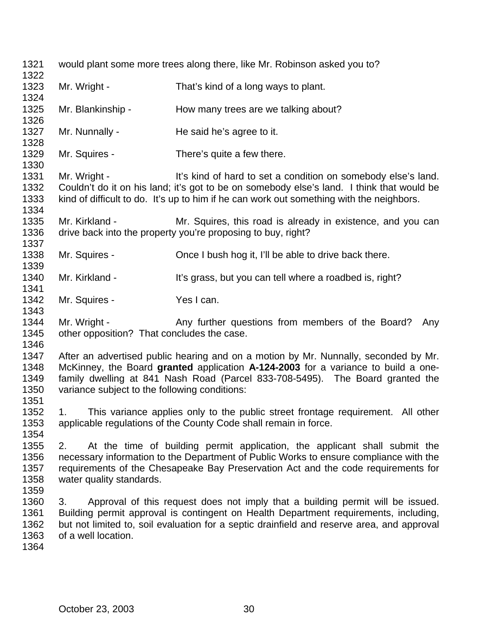| 1321<br>1322                         | would plant some more trees along there, like Mr. Robinson asked you to?                                                                                                                                                                                                                                   |                                                                                                                                                                                                                                                        |  |  |
|--------------------------------------|------------------------------------------------------------------------------------------------------------------------------------------------------------------------------------------------------------------------------------------------------------------------------------------------------------|--------------------------------------------------------------------------------------------------------------------------------------------------------------------------------------------------------------------------------------------------------|--|--|
| 1323<br>1324                         | Mr. Wright -                                                                                                                                                                                                                                                                                               | That's kind of a long ways to plant.                                                                                                                                                                                                                   |  |  |
| 1325<br>1326                         | Mr. Blankinship -                                                                                                                                                                                                                                                                                          | How many trees are we talking about?                                                                                                                                                                                                                   |  |  |
| 1327<br>1328                         | Mr. Nunnally -                                                                                                                                                                                                                                                                                             | He said he's agree to it.                                                                                                                                                                                                                              |  |  |
| 1329<br>1330                         | Mr. Squires -                                                                                                                                                                                                                                                                                              | There's quite a few there.                                                                                                                                                                                                                             |  |  |
| 1331<br>1332<br>1333<br>1334         | Mr. Wright -                                                                                                                                                                                                                                                                                               | It's kind of hard to set a condition on somebody else's land.<br>Couldn't do it on his land; it's got to be on somebody else's land. I think that would be<br>kind of difficult to do. It's up to him if he can work out something with the neighbors. |  |  |
| 1335<br>1336<br>1337                 | Mr. Kirkland -                                                                                                                                                                                                                                                                                             | Mr. Squires, this road is already in existence, and you can<br>drive back into the property you're proposing to buy, right?                                                                                                                            |  |  |
| 1338<br>1339                         | Mr. Squires -                                                                                                                                                                                                                                                                                              | Once I bush hog it, I'll be able to drive back there.                                                                                                                                                                                                  |  |  |
| 1340<br>1341                         | Mr. Kirkland -                                                                                                                                                                                                                                                                                             | It's grass, but you can tell where a roadbed is, right?                                                                                                                                                                                                |  |  |
| 1342<br>1343                         | Mr. Squires -                                                                                                                                                                                                                                                                                              | Yes I can.                                                                                                                                                                                                                                             |  |  |
| 1344<br>1345<br>1346                 | Mr. Wright -<br>Any further questions from members of the Board?<br>Any<br>other opposition? That concludes the case.                                                                                                                                                                                      |                                                                                                                                                                                                                                                        |  |  |
| 1347<br>1348<br>1349<br>1350<br>1351 | After an advertised public hearing and on a motion by Mr. Nunnally, seconded by Mr.<br>McKinney, the Board granted application A-124-2003 for a variance to build a one-<br>family dwelling at 841 Nash Road (Parcel 833-708-5495). The Board granted the<br>variance subject to the following conditions: |                                                                                                                                                                                                                                                        |  |  |
| 1352<br>1353<br>1354                 | This variance applies only to the public street frontage requirement. All other<br>$1_{\cdot}$<br>applicable regulations of the County Code shall remain in force.                                                                                                                                         |                                                                                                                                                                                                                                                        |  |  |
| 1355<br>1356<br>1357<br>1358<br>1359 | At the time of building permit application, the applicant shall submit the<br>2.<br>necessary information to the Department of Public Works to ensure compliance with the<br>requirements of the Chesapeake Bay Preservation Act and the code requirements for<br>water quality standards.                 |                                                                                                                                                                                                                                                        |  |  |
| 1360<br>1361<br>1362<br>1363<br>1364 | Approval of this request does not imply that a building permit will be issued.<br>3.<br>Building permit approval is contingent on Health Department requirements, including,<br>but not limited to, soil evaluation for a septic drainfield and reserve area, and approval<br>of a well location.          |                                                                                                                                                                                                                                                        |  |  |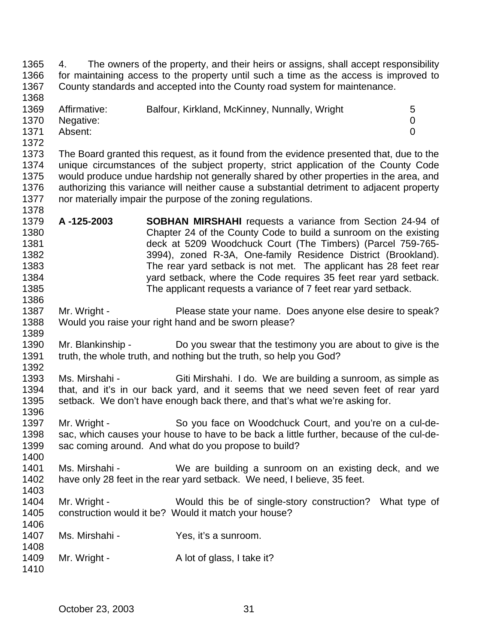4. The owners of the property, and their heirs or assigns, shall accept responsibility for maintaining access to the property until such a time as the access is improved to County standards and accepted into the County road system for maintenance. 1369 Affirmative: Balfour, Kirkland, McKinney, Nunnally, Wright 5 Negative: 0 Absent: 0 The Board granted this request, as it found from the evidence presented that, due to the unique circumstances of the subject property, strict application of the County Code would produce undue hardship not generally shared by other properties in the area, and authorizing this variance will neither cause a substantial detriment to adjacent property nor materially impair the purpose of the zoning regulations. **A -125-2003 SOBHAN MIRSHAHI** requests a variance from Section 24-94 of Chapter 24 of the County Code to build a sunroom on the existing deck at 5209 Woodchuck Court (The Timbers) (Parcel 759-765- 3994), zoned R-3A, One-family Residence District (Brookland). 1383 The rear yard setback is not met. The applicant has 28 feet rear yard setback, where the Code requires 35 feet rear yard setback. The applicant requests a variance of 7 feet rear yard setback. 1387 Mr. Wright - Please state your name. Does anyone else desire to speak? Would you raise your right hand and be sworn please? Mr. Blankinship - Do you swear that the testimony you are about to give is the truth, the whole truth, and nothing but the truth, so help you God? Ms. Mirshahi - Giti Mirshahi. I do. We are building a sunroom, as simple as that, and it's in our back yard, and it seems that we need seven feet of rear yard setback. We don't have enough back there, and that's what we're asking for. 1397 Mr. Wright - So you face on Woodchuck Court, and you're on a cul-de- sac, which causes your house to have to be back a little further, because of the cul-de- sac coming around. And what do you propose to build? Ms. Mirshahi - We are building a sunroom on an existing deck, and we have only 28 feet in the rear yard setback. We need, I believe, 35 feet. 1404 Mr. Wright - Would this be of single-story construction? What type of construction would it be? Would it match your house? Ms. Mirshahi - Yes, it's a sunroom. 1409 Mr. Wright - A lot of glass, I take it?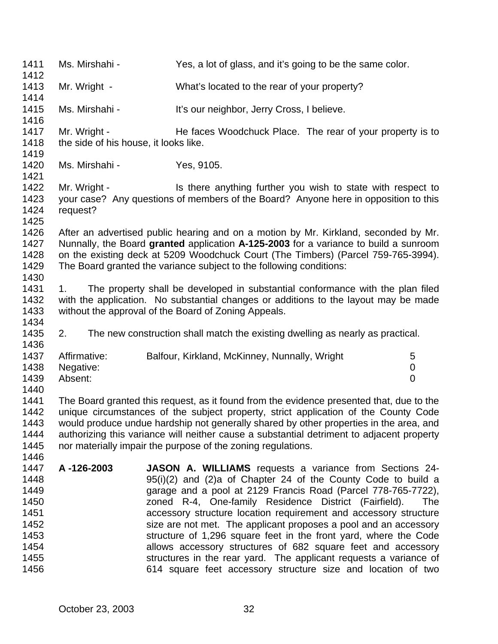Ms. Mirshahi - Yes, a lot of glass, and it's going to be the same color. Mr. Wright - What's located to the rear of your property? 1415 Ms. Mirshahi - It's our neighbor, Jerry Cross, I believe. 1417 Mr. Wright - He faces Woodchuck Place. The rear of your property is to 1418 the side of his house, it looks like. Ms. Mirshahi - Yes, 9105. 1422 Mr. Wright - Is there anything further you wish to state with respect to your case? Any questions of members of the Board? Anyone here in opposition to this request? After an advertised public hearing and on a motion by Mr. Kirkland, seconded by Mr. Nunnally, the Board **granted** application **A-125-2003** for a variance to build a sunroom on the existing deck at 5209 Woodchuck Court (The Timbers) (Parcel 759-765-3994). The Board granted the variance subject to the following conditions: 1. The property shall be developed in substantial conformance with the plan filed with the application. No substantial changes or additions to the layout may be made without the approval of the Board of Zoning Appeals. 2. The new construction shall match the existing dwelling as nearly as practical. 1437 Affirmative: Balfour, Kirkland, McKinney, Nunnally, Wright 5 Negative: 0 Absent: 0 The Board granted this request, as it found from the evidence presented that, due to the unique circumstances of the subject property, strict application of the County Code would produce undue hardship not generally shared by other properties in the area, and authorizing this variance will neither cause a substantial detriment to adjacent property nor materially impair the purpose of the zoning regulations. **A -126-2003 JASON A. WILLIAMS** requests a variance from Sections 24- 95(i)(2) and (2)a of Chapter 24 of the County Code to build a garage and a pool at 2129 Francis Road (Parcel 778-765-7722), zoned R-4, One-family Residence District (Fairfield). The accessory structure location requirement and accessory structure size are not met. The applicant proposes a pool and an accessory structure of 1,296 square feet in the front yard, where the Code allows accessory structures of 682 square feet and accessory **Structures** in the rear yard. The applicant requests a variance of 614 square feet accessory structure size and location of two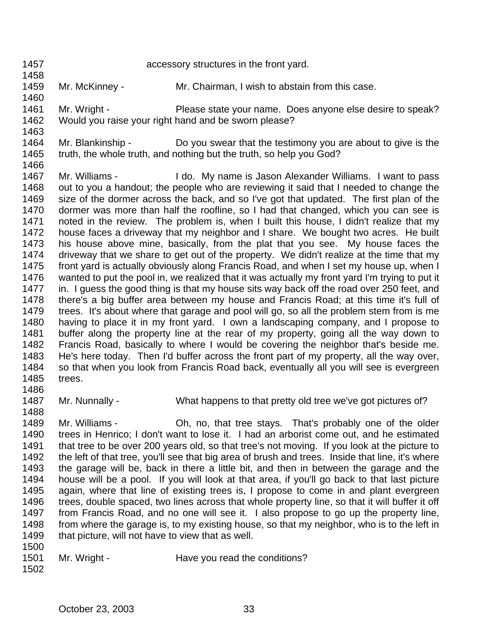accessory structures in the front yard.

- Mr. McKinney Mr. Chairman, I wish to abstain from this case.
- 1461 Mr. Wright - Please state your name. Does anyone else desire to speak? Would you raise your right hand and be sworn please?
- Mr. Blankinship Do you swear that the testimony you are about to give is the truth, the whole truth, and nothing but the truth, so help you God?
- Mr. Williams I do. My name is Jason Alexander Williams. I want to pass out to you a handout; the people who are reviewing it said that I needed to change the size of the dormer across the back, and so I've got that updated. The first plan of the dormer was more than half the roofline, so I had that changed, which you can see is noted in the review. The problem is, when I built this house, I didn't realize that my house faces a driveway that my neighbor and I share. We bought two acres. He built his house above mine, basically, from the plat that you see. My house faces the driveway that we share to get out of the property. We didn't realize at the time that my front yard is actually obviously along Francis Road, and when I set my house up, when I wanted to put the pool in, we realized that it was actually my front yard I'm trying to put it 1477 in. I guess the good thing is that my house sits way back off the road over 250 feet, and there's a big buffer area between my house and Francis Road; at this time it's full of trees. It's about where that garage and pool will go, so all the problem stem from is me having to place it in my front yard. I own a landscaping company, and I propose to buffer along the property line at the rear of my property, going all the way down to Francis Road, basically to where I would be covering the neighbor that's beside me. He's here today. Then I'd buffer across the front part of my property, all the way over, so that when you look from Francis Road back, eventually all you will see is evergreen trees.
	-
	- Mr. Nunnally What happens to that pretty old tree we've got pictures of?
- Mr. Williams Oh, no, that tree stays. That's probably one of the older trees in Henrico; I don't want to lose it. I had an arborist come out, and he estimated that tree to be over 200 years old, so that tree's not moving. If you look at the picture to the left of that tree, you'll see that big area of brush and trees. Inside that line, it's where the garage will be, back in there a little bit, and then in between the garage and the house will be a pool. If you will look at that area, if you'll go back to that last picture again, where that line of existing trees is, I propose to come in and plant evergreen trees, double spaced, two lines across that whole property line, so that it will buffer it off from Francis Road, and no one will see it. I also propose to go up the property line, from where the garage is, to my existing house, so that my neighbor, who is to the left in 1499 that picture, will not have to view that as well.
- 

- 1501 Mr. Wright Have you read the conditions?
-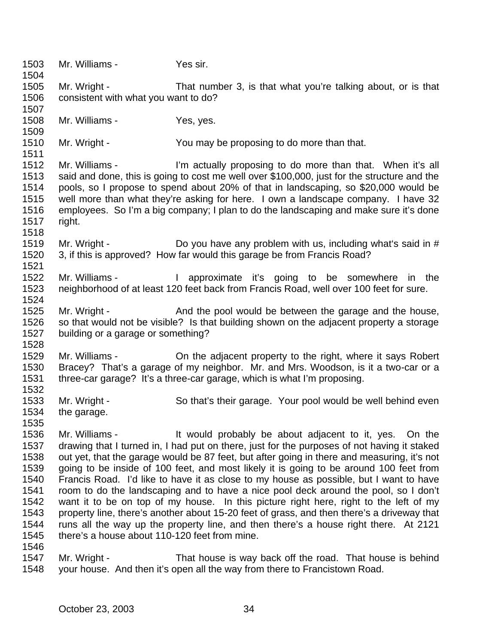Mr. Williams - Yes sir. Mr. Wright - That number 3, is that what you're talking about, or is that consistent with what you want to do? 1508 Mr. Williams - Yes, yes. 1510 Mr. Wright - You may be proposing to do more than that. Mr. Williams - I'm actually proposing to do more than that. When it's all said and done, this is going to cost me well over \$100,000, just for the structure and the pools, so I propose to spend about 20% of that in landscaping, so \$20,000 would be well more than what they're asking for here. I own a landscape company. I have 32 employees. So I'm a big company; I plan to do the landscaping and make sure it's done right. 1519 Mr. Wright - Do you have any problem with us, including what's said in # 3, if this is approved? How far would this garage be from Francis Road? Mr. Williams - I approximate it's going to be somewhere in the neighborhood of at least 120 feet back from Francis Road, well over 100 feet for sure. 1525 Mr. Wright - And the pool would be between the garage and the house, so that would not be visible? Is that building shown on the adjacent property a storage building or a garage or something? Mr. Williams - On the adjacent property to the right, where it says Robert Bracey? That's a garage of my neighbor. Mr. and Mrs. Woodson, is it a two-car or a three-car garage? It's a three-car garage, which is what I'm proposing. Mr. Wright - So that's their garage. Your pool would be well behind even the garage. Mr. Williams - It would probably be about adjacent to it, yes. On the drawing that I turned in, I had put on there, just for the purposes of not having it staked out yet, that the garage would be 87 feet, but after going in there and measuring, it's not going to be inside of 100 feet, and most likely it is going to be around 100 feet from Francis Road. I'd like to have it as close to my house as possible, but I want to have room to do the landscaping and to have a nice pool deck around the pool, so I don't want it to be on top of my house. In this picture right here, right to the left of my property line, there's another about 15-20 feet of grass, and then there's a driveway that runs all the way up the property line, and then there's a house right there. At 2121 there's a house about 110-120 feet from mine. Mr. Wright - That house is way back off the road. That house is behind your house. And then it's open all the way from there to Francistown Road.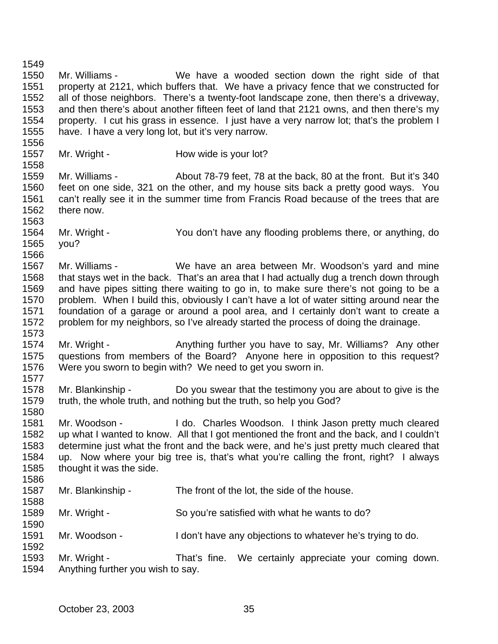Mr. Williams - We have a wooded section down the right side of that property at 2121, which buffers that. We have a privacy fence that we constructed for all of those neighbors. There's a twenty-foot landscape zone, then there's a driveway, and then there's about another fifteen feet of land that 2121 owns, and then there's my property. I cut his grass in essence. I just have a very narrow lot; that's the problem I have. I have a very long lot, but it's very narrow. 1557 Mr. Wright - How wide is your lot? Mr. Williams - About 78-79 feet, 78 at the back, 80 at the front. But it's 340 feet on one side, 321 on the other, and my house sits back a pretty good ways. You can't really see it in the summer time from Francis Road because of the trees that are there now. Mr. Wright - You don't have any flooding problems there, or anything, do you? Mr. Williams - We have an area between Mr. Woodson's yard and mine that stays wet in the back. That's an area that I had actually dug a trench down through and have pipes sitting there waiting to go in, to make sure there's not going to be a problem. When I build this, obviously I can't have a lot of water sitting around near the foundation of a garage or around a pool area, and I certainly don't want to create a problem for my neighbors, so I've already started the process of doing the drainage. 1574 Mr. Wright - Anything further you have to say, Mr. Williams? Any other questions from members of the Board? Anyone here in opposition to this request? Were you sworn to begin with? We need to get you sworn in. Mr. Blankinship - Do you swear that the testimony you are about to give is the truth, the whole truth, and nothing but the truth, so help you God? Mr. Woodson - I do. Charles Woodson. I think Jason pretty much cleared up what I wanted to know. All that I got mentioned the front and the back, and I couldn't determine just what the front and the back were, and he's just pretty much cleared that up. Now where your big tree is, that's what you're calling the front, right? I always thought it was the side. Mr. Blankinship - The front of the lot, the side of the house. Mr. Wright - So you're satisfied with what he wants to do? Mr. Woodson - I don't have any objections to whatever he's trying to do. Mr. Wright - That's fine. We certainly appreciate your coming down. Anything further you wish to say.